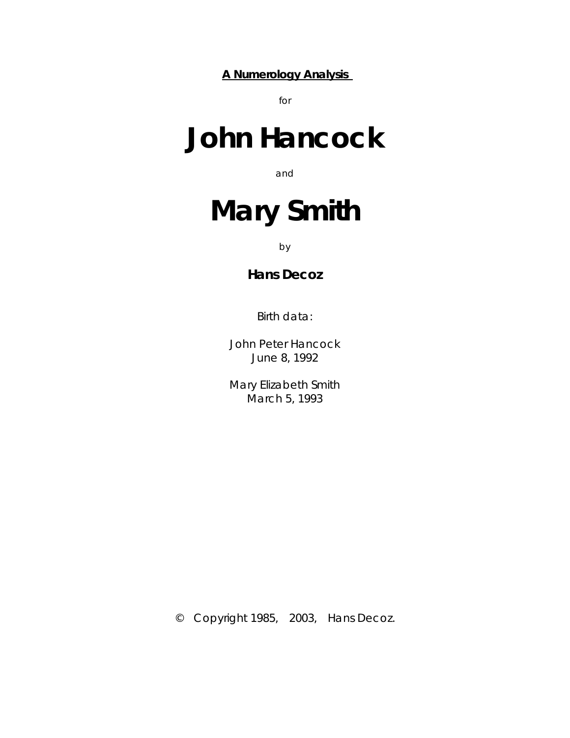**A Numerology Analysis** 

for

# **John Hancock**

and

# **Mary Smith**

by

# **Hans Decoz**

Birth data:

John Peter Hancock June 8, 1992

Mary Elizabeth Smith March 5, 1993

© Copyright 1985, 2003, Hans Decoz.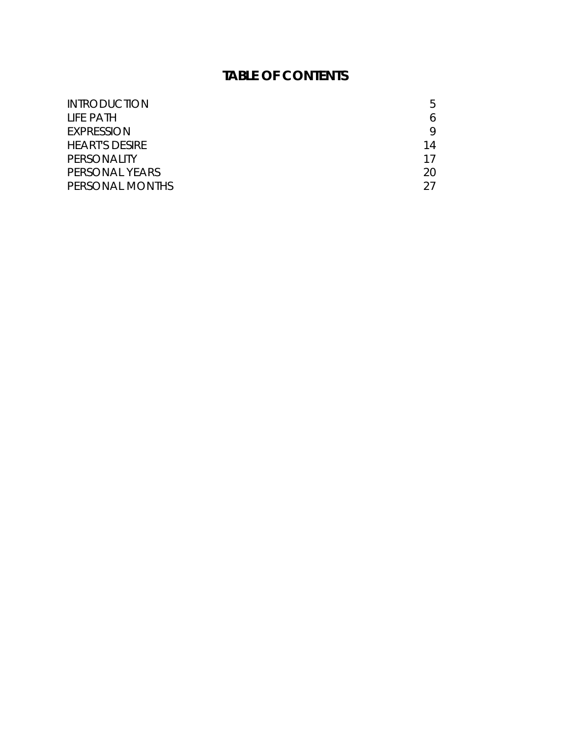# **TABLE OF CONTENTS**

| <b>INTRODUCTION</b>   | 5  |
|-----------------------|----|
| LIFE PATH             | 6  |
| <b>EXPRESSION</b>     | Q  |
| <b>HEART'S DESIRE</b> | 14 |
| <b>PERSONALITY</b>    | 17 |
| PERSONAL YEARS        | 20 |
| PERSONAL MONTHS       | 27 |
|                       |    |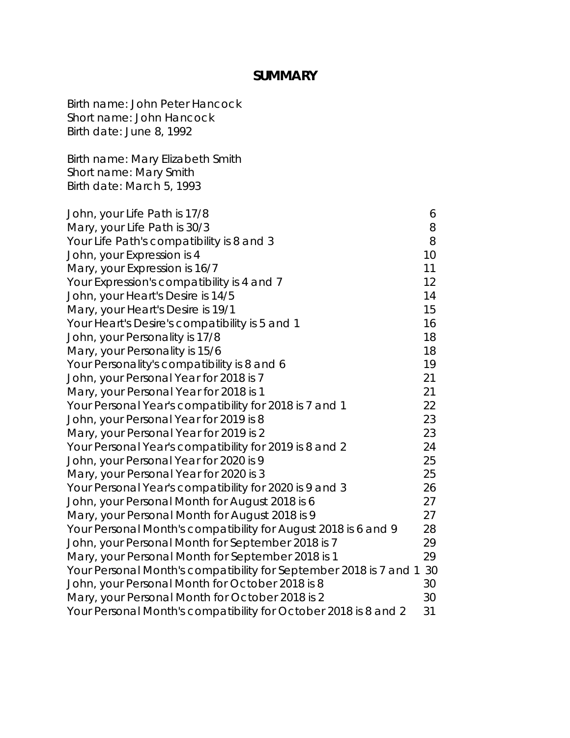#### **SUMMARY**

Birth name: John Peter Hancock Short name: John Hancock Birth date: June 8, 1992 Birth name: Mary Elizabeth Smith Short name: Mary Smith Birth date: March 5, 1993 John, your Life Path is 17/8 6 Mary, your Life Path is 30/3 8 Your Life Path's compatibility is 8 and 3 8 John, your Expression is 4 10 Mary, your Expression is 16/7 11 Your Expression's compatibility is 4 and 7 12 John, your Heart's Desire is 14/5 14 Mary, your Heart's Desire is 19/1 15 Your Heart's Desire's compatibility is 5 and 1 John, your Personality is 17/8 18 Mary, your Personality is 15/6 18 18 18 Your Personality's compatibility is 8 and 6 19 John, your Personal Year for 2018 is 7 21 Mary, your Personal Year for 2018 is 1 21 Your Personal Year's compatibility for 2018 is 7 and 1 22 John, your Personal Year for 2019 is 8 23 Mary, your Personal Year for 2019 is 2 23 Your Personal Year's compatibility for 2019 is 8 and 2 24 John, your Personal Year for 2020 is 9 25 Mary, your Personal Year for 2020 is 3 25 Your Personal Year's compatibility for 2020 is 9 and 3 26 John, your Personal Month for August 2018 is 6 27 Mary, your Personal Month for August 2018 is 9 27 Your Personal Month's compatibility for August 2018 is 6 and 9 28 John, your Personal Month for September 2018 is 7 29 Mary, your Personal Month for September 2018 is 1 29 Your Personal Month's compatibility for September 2018 is 7 and 1 30 John, your Personal Month for October 2018 is 8 30 Mary, your Personal Month for October 2018 is 2 30 Your Personal Month's compatibility for October 2018 is 8 and 2 31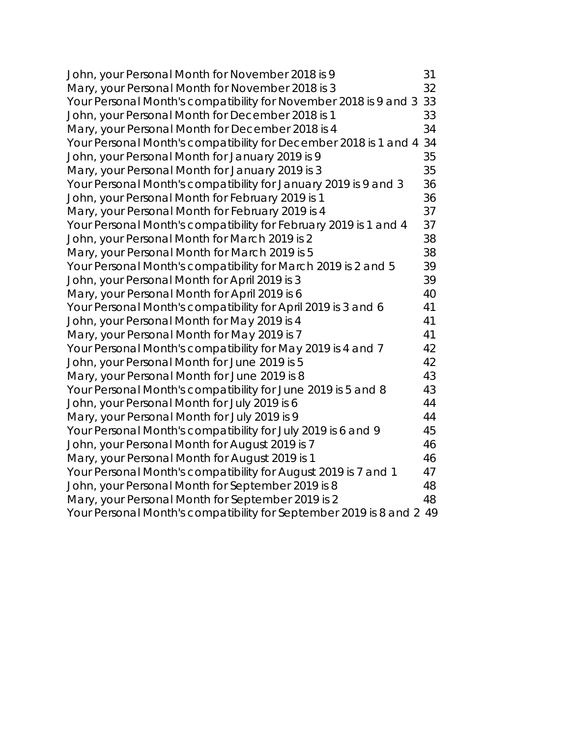| John, your Personal Month for November 2018 is 9                     | 31 |
|----------------------------------------------------------------------|----|
| Mary, your Personal Month for November 2018 is 3                     | 32 |
| Your Personal Month's compatibility for November 2018 is 9 and 3     | 33 |
| John, your Personal Month for December 2018 is 1                     | 33 |
| Mary, your Personal Month for December 2018 is 4                     | 34 |
| Your Personal Month's compatibility for December 2018 is 1 and 4 34  |    |
| John, your Personal Month for January 2019 is 9                      | 35 |
| Mary, your Personal Month for January 2019 is 3                      | 35 |
| Your Personal Month's compatibility for January 2019 is 9 and 3      | 36 |
| John, your Personal Month for February 2019 is 1                     | 36 |
| Mary, your Personal Month for February 2019 is 4                     | 37 |
| Your Personal Month's compatibility for February 2019 is 1 and 4     | 37 |
| John, your Personal Month for March 2019 is 2                        | 38 |
| Mary, your Personal Month for March 2019 is 5                        | 38 |
| Your Personal Month's compatibility for March 2019 is 2 and 5        | 39 |
| John, your Personal Month for April 2019 is 3                        | 39 |
| Mary, your Personal Month for April 2019 is 6                        | 40 |
| Your Personal Month's compatibility for April 2019 is 3 and 6        | 41 |
| John, your Personal Month for May 2019 is 4                          | 41 |
| Mary, your Personal Month for May 2019 is 7                          | 41 |
| Your Personal Month's compatibility for May 2019 is 4 and 7          | 42 |
| John, your Personal Month for June 2019 is 5                         | 42 |
| Mary, your Personal Month for June 2019 is 8                         | 43 |
| Your Personal Month's compatibility for June 2019 is 5 and 8         | 43 |
| John, your Personal Month for July 2019 is 6                         | 44 |
| Mary, your Personal Month for July 2019 is 9                         | 44 |
| Your Personal Month's compatibility for July 2019 is 6 and 9         | 45 |
| John, your Personal Month for August 2019 is 7                       | 46 |
| Mary, your Personal Month for August 2019 is 1                       | 46 |
| Your Personal Month's compatibility for August 2019 is 7 and 1       | 47 |
| John, your Personal Month for September 2019 is 8                    | 48 |
| Mary, your Personal Month for September 2019 is 2                    | 48 |
| Your Personal Month's compatibility for September 2019 is 8 and 2 49 |    |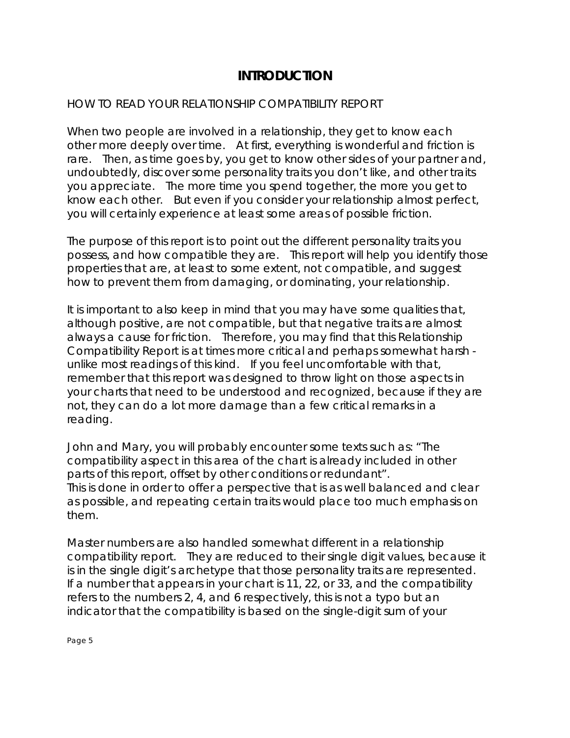# **INTRODUCTION**

#### HOW TO READ YOUR RELATIONSHIP COMPATIBILITY REPORT

When two people are involved in a relationship, they get to know each other more deeply over time. At first, everything is wonderful and friction is rare. Then, as time goes by, you get to know other sides of your partner and, undoubtedly, discover some personality traits you don't like, and other traits you appreciate. The more time you spend together, the more you get to know each other. But even if you consider your relationship almost perfect, you will certainly experience at least some areas of possible friction.

The purpose of this report is to point out the different personality traits you possess, and how compatible they are. This report will help you identify those properties that are, at least to some extent, not compatible, and suggest how to prevent them from damaging, or dominating, your relationship.

It is important to also keep in mind that you may have some qualities that, although positive, are not compatible, but that negative traits are almost always a cause for friction. Therefore, you may find that this Relationship Compatibility Report is at times more critical and perhaps somewhat harsh unlike most readings of this kind. If you feel uncomfortable with that, remember that this report was designed to throw light on those aspects in your charts that need to be understood and recognized, because if they are not, they can do a lot more damage than a few critical remarks in a reading.

John and Mary, you will probably encounter some texts such as: "The compatibility aspect in this area of the chart is already included in other parts of this report, offset by other conditions or redundant". This is done in order to offer a perspective that is as well balanced and clear as possible, and repeating certain traits would place too much emphasis on them.

Master numbers are also handled somewhat different in a relationship compatibility report. They are reduced to their single digit values, because it is in the single digit's archetype that those personality traits are represented. If a number that appears in your chart is 11, 22, or 33, and the compatibility refers to the numbers 2, 4, and 6 respectively, this is not a typo but an indicator that the compatibility is based on the single-digit sum of your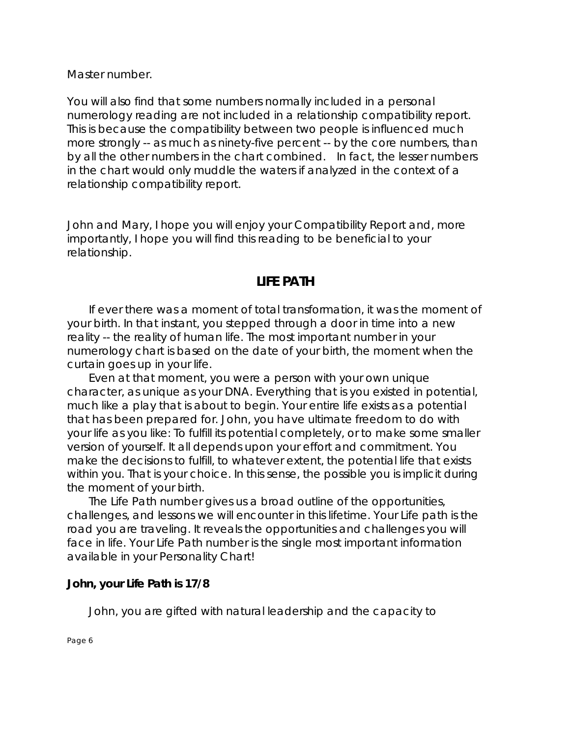Master number.

You will also find that some numbers normally included in a personal numerology reading are not included in a relationship compatibility report. This is because the compatibility between two people is influenced much more strongly -- as much as ninety-five percent -- by the core numbers, than by all the other numbers in the chart combined. In fact, the lesser numbers in the chart would only muddle the waters if analyzed in the context of a relationship compatibility report.

John and Mary, I hope you will enjoy your Compatibility Report and, more importantly, I hope you will find this reading to be beneficial to your relationship.

# **LIFE PATH**

 If ever there was a moment of total transformation, it was the moment of your birth. In that instant, you stepped through a door in time into a new reality -- the reality of human life. The most important number in your numerology chart is based on the date of your birth, the moment when the curtain goes up in your life.

 Even at that moment, you were a person with your own unique character, as unique as your DNA. Everything that is you existed in potential, much like a play that is about to begin. Your entire life exists as a potential that has been prepared for. John, you have ultimate freedom to do with your life as you like: To fulfill its potential completely, or to make some smaller version of yourself. It all depends upon your effort and commitment. You make the decisions to fulfill, to whatever extent, the potential life that exists within you. That is your choice. In this sense, the possible you is implicit during the moment of your birth.

 The Life Path number gives us a broad outline of the opportunities, challenges, and lessons we will encounter in this lifetime. Your Life path is the road you are traveling. It reveals the opportunities and challenges you will face in life. Your Life Path number is the single most important information available in your Personality Chart!

#### *John, your Life Path is 17/8*

John, you are gifted with natural leadership and the capacity to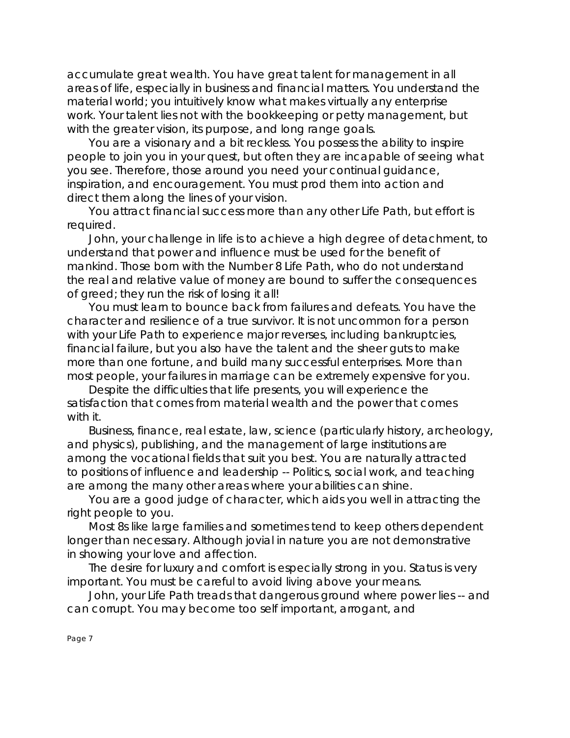accumulate great wealth. You have great talent for management in all areas of life, especially in business and financial matters. You understand the material world; you intuitively know what makes virtually any enterprise work. Your talent lies not with the bookkeeping or petty management, but with the greater vision, its purpose, and long range goals.

 You are a visionary and a bit reckless. You possess the ability to inspire people to join you in your quest, but often they are incapable of seeing what you see. Therefore, those around you need your continual guidance, inspiration, and encouragement. You must prod them into action and direct them along the lines of your vision.

 You attract financial success more than any other Life Path, but effort is required.

 John, your challenge in life is to achieve a high degree of detachment, to understand that power and influence must be used for the benefit of mankind. Those born with the Number 8 Life Path, who do not understand the real and relative value of money are bound to suffer the consequences of greed; they run the risk of losing it all!

 You must learn to bounce back from failures and defeats. You have the character and resilience of a true survivor. It is not uncommon for a person with your Life Path to experience major reverses, including bankruptcies, financial failure, but you also have the talent and the sheer guts to make more than one fortune, and build many successful enterprises. More than most people, your failures in marriage can be extremely expensive for you.

 Despite the difficulties that life presents, you will experience the satisfaction that comes from material wealth and the power that comes with it.

 Business, finance, real estate, law, science (particularly history, archeology, and physics), publishing, and the management of large institutions are among the vocational fields that suit you best. You are naturally attracted to positions of influence and leadership -- Politics, social work, and teaching are among the many other areas where your abilities can shine.

 You are a good judge of character, which aids you well in attracting the right people to you.

 Most 8s like large families and sometimes tend to keep others dependent longer than necessary. Although jovial in nature you are not demonstrative in showing your love and affection.

 The desire for luxury and comfort is especially strong in you. Status is very important. You must be careful to avoid living above your means.

 John, your Life Path treads that dangerous ground where power lies -- and can corrupt. You may become too self important, arrogant, and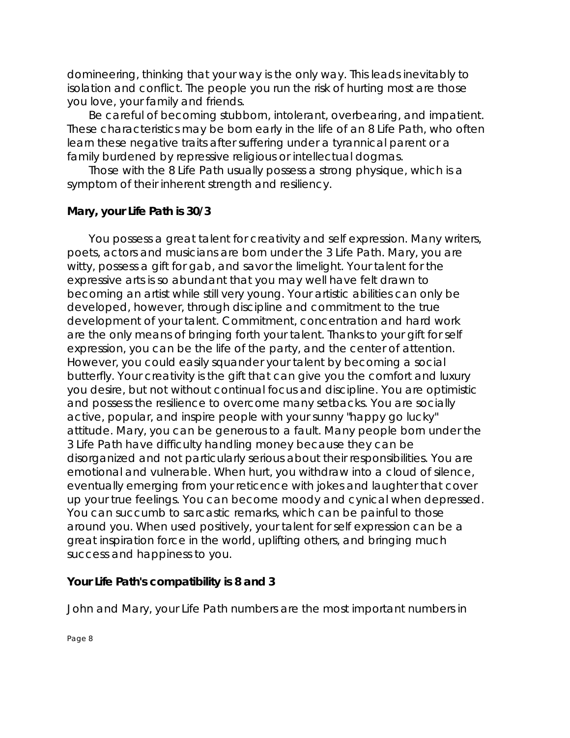domineering, thinking that your way is the only way. This leads inevitably to isolation and conflict. The people you run the risk of hurting most are those you love, your family and friends.

 Be careful of becoming stubborn, intolerant, overbearing, and impatient. These characteristics may be born early in the life of an 8 Life Path, who often learn these negative traits after suffering under a tyrannical parent or a family burdened by repressive religious or intellectual dogmas.

 Those with the 8 Life Path usually possess a strong physique, which is a symptom of their inherent strength and resiliency.

# *Mary, your Life Path is 30/3*

 You possess a great talent for creativity and self expression. Many writers, poets, actors and musicians are born under the 3 Life Path. Mary, you are witty, possess a gift for gab, and savor the limelight. Your talent for the expressive arts is so abundant that you may well have felt drawn to becoming an artist while still very young. Your artistic abilities can only be developed, however, through discipline and commitment to the true development of your talent. Commitment, concentration and hard work are the only means of bringing forth your talent. Thanks to your gift for self expression, you can be the life of the party, and the center of attention. However, you could easily squander your talent by becoming a social butterfly. Your creativity is the gift that can give you the comfort and luxury you desire, but not without continual focus and discipline. You are optimistic and possess the resilience to overcome many setbacks. You are socially active, popular, and inspire people with your sunny "happy go lucky" attitude. Mary, you can be generous to a fault. Many people born under the 3 Life Path have difficulty handling money because they can be disorganized and not particularly serious about their responsibilities. You are emotional and vulnerable. When hurt, you withdraw into a cloud of silence, eventually emerging from your reticence with jokes and laughter that cover up your true feelings. You can become moody and cynical when depressed. You can succumb to sarcastic remarks, which can be painful to those around you. When used positively, your talent for self expression can be a great inspiration force in the world, uplifting others, and bringing much success and happiness to you.

# *Your Life Path's compatibility is 8 and 3*

John and Mary, your Life Path numbers are the most important numbers in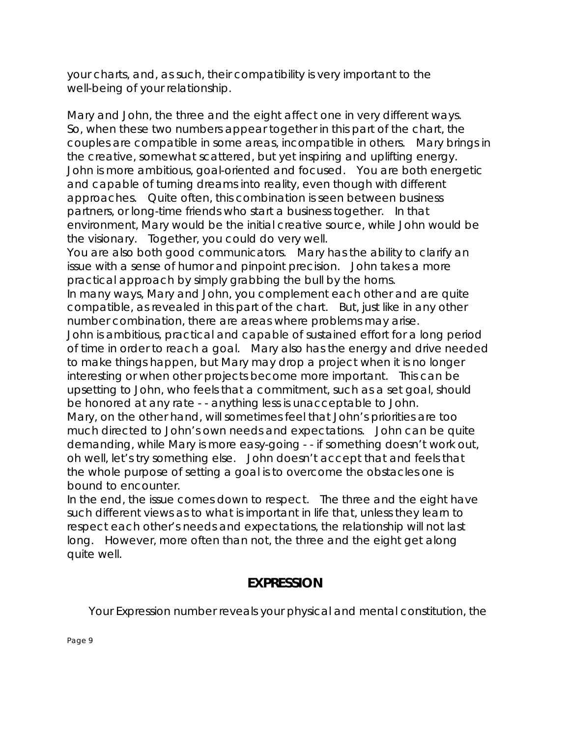your charts, and, as such, their compatibility is very important to the well-being of your relationship.

Mary and John, the three and the eight affect one in very different ways. So, when these two numbers appear together in this part of the chart, the couples are compatible in some areas, incompatible in others. Mary brings in the creative, somewhat scattered, but yet inspiring and uplifting energy. John is more ambitious, goal-oriented and focused. You are both energetic and capable of turning dreams into reality, even though with different approaches. Quite often, this combination is seen between business partners, or long-time friends who start a business together. In that environment, Mary would be the initial creative source, while John would be the visionary. Together, you could do very well.

You are also both good communicators. Mary has the ability to clarify an issue with a sense of humor and pinpoint precision. John takes a more practical approach by simply grabbing the bull by the horns.

In many ways, Mary and John, you complement each other and are quite compatible, as revealed in this part of the chart. But, just like in any other number combination, there are areas where problems may arise.

John is ambitious, practical and capable of sustained effort for a long period of time in order to reach a goal. Mary also has the energy and drive needed to make things happen, but Mary may drop a project when it is no longer interesting or when other projects become more important. This can be upsetting to John, who feels that a commitment, such as a set goal, should be honored at any rate - - anything less is unacceptable to John.

Mary, on the other hand, will sometimes feel that John's priorities are too much directed to John's own needs and expectations. John can be quite demanding, while Mary is more easy-going - - if something doesn't work out, oh well, let's try something else. John doesn't accept that and feels that the whole purpose of setting a goal is to overcome the obstacles one is bound to encounter.

In the end, the issue comes down to respect. The three and the eight have such different views as to what is important in life that, unless they learn to respect each other's needs and expectations, the relationship will not last long. However, more often than not, the three and the eight get along quite well.

# **EXPRESSION**

Your Expression number reveals your physical and mental constitution, the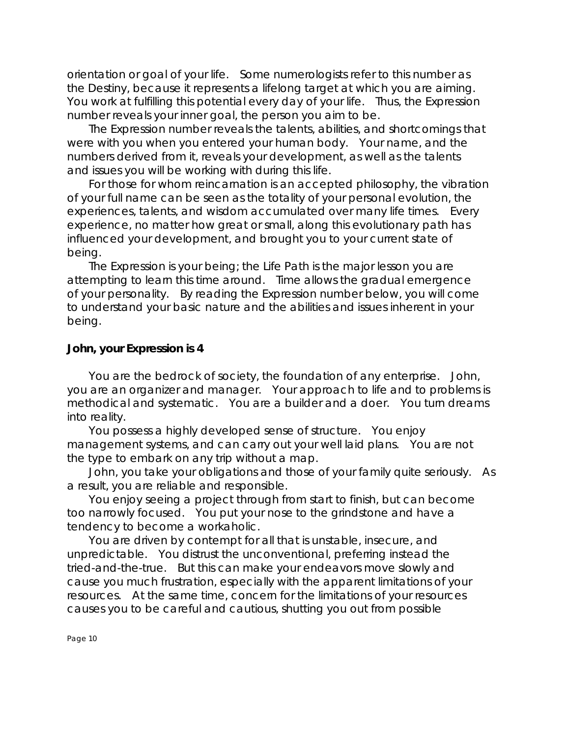orientation or goal of your life. Some numerologists refer to this number as the Destiny, because it represents a lifelong target at which you are aiming. You work at fulfilling this potential every day of your life. Thus, the Expression number reveals your inner goal, the person you aim to be.

 The Expression number reveals the talents, abilities, and shortcomings that were with you when you entered your human body. Your name, and the numbers derived from it, reveals your development, as well as the talents and issues you will be working with during this life.

 For those for whom reincarnation is an accepted philosophy, the vibration of your full name can be seen as the totality of your personal evolution, the experiences, talents, and wisdom accumulated over many life times. Every experience, no matter how great or small, along this evolutionary path has influenced your development, and brought you to your current state of being.

 The Expression is your being; the Life Path is the major lesson you are attempting to learn this time around. Time allows the gradual emergence of your personality. By reading the Expression number below, you will come to understand your basic nature and the abilities and issues inherent in your being.

#### *John, your Expression is 4*

 You are the bedrock of society, the foundation of any enterprise. John, you are an organizer and manager. Your approach to life and to problems is methodical and systematic. You are a builder and a doer. You turn dreams into reality.

 You possess a highly developed sense of structure. You enjoy management systems, and can carry out your well laid plans. You are not the type to embark on any trip without a map.

 John, you take your obligations and those of your family quite seriously. As a result, you are reliable and responsible.

 You enjoy seeing a project through from start to finish, but can become too narrowly focused. You put your nose to the grindstone and have a tendency to become a workaholic.

 You are driven by contempt for all that is unstable, insecure, and unpredictable. You distrust the unconventional, preferring instead the tried-and-the-true. But this can make your endeavors move slowly and cause you much frustration, especially with the apparent limitations of your resources. At the same time, concern for the limitations of your resources causes you to be careful and cautious, shutting you out from possible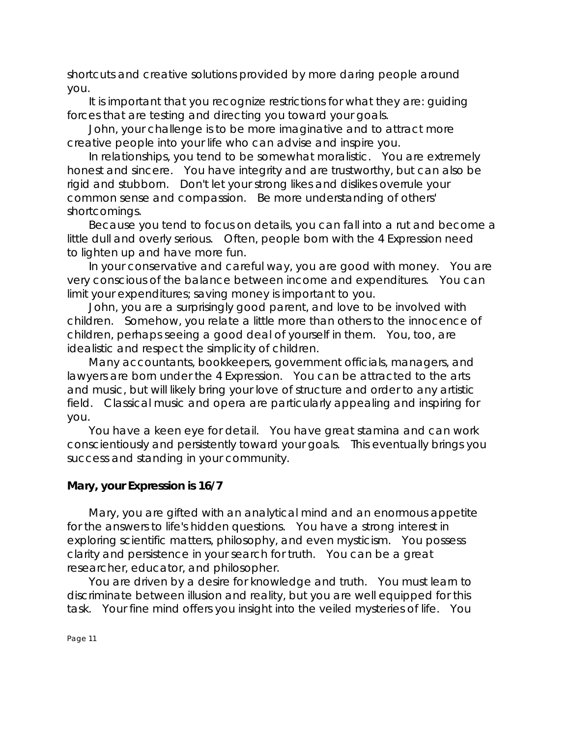shortcuts and creative solutions provided by more daring people around you.

 It is important that you recognize restrictions for what they are: guiding forces that are testing and directing you toward your goals.

 John, your challenge is to be more imaginative and to attract more creative people into your life who can advise and inspire you.

 In relationships, you tend to be somewhat moralistic. You are extremely honest and sincere. You have integrity and are trustworthy, but can also be rigid and stubborn. Don't let your strong likes and dislikes overrule your common sense and compassion. Be more understanding of others' shortcomings.

 Because you tend to focus on details, you can fall into a rut and become a little dull and overly serious. Often, people born with the 4 Expression need to lighten up and have more fun.

 In your conservative and careful way, you are good with money. You are very conscious of the balance between income and expenditures. You can limit your expenditures; saving money is important to you.

 John, you are a surprisingly good parent, and love to be involved with children. Somehow, you relate a little more than others to the innocence of children, perhaps seeing a good deal of yourself in them. You, too, are idealistic and respect the simplicity of children.

 Many accountants, bookkeepers, government officials, managers, and lawyers are born under the 4 Expression. You can be attracted to the arts and music, but will likely bring your love of structure and order to any artistic field. Classical music and opera are particularly appealing and inspiring for you.

 You have a keen eye for detail. You have great stamina and can work conscientiously and persistently toward your goals. This eventually brings you success and standing in your community.

# *Mary, your Expression is 16/7*

 Mary, you are gifted with an analytical mind and an enormous appetite for the answers to life's hidden questions. You have a strong interest in exploring scientific matters, philosophy, and even mysticism. You possess clarity and persistence in your search for truth. You can be a great researcher, educator, and philosopher.

 You are driven by a desire for knowledge and truth. You must learn to discriminate between illusion and reality, but you are well equipped for this task. Your fine mind offers you insight into the veiled mysteries of life. You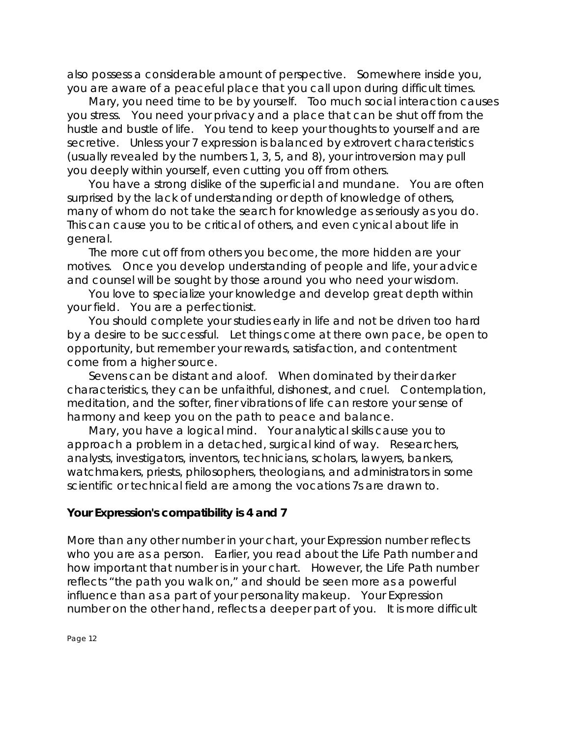also possess a considerable amount of perspective. Somewhere inside you, you are aware of a peaceful place that you call upon during difficult times.

 Mary, you need time to be by yourself. Too much social interaction causes you stress. You need your privacy and a place that can be shut off from the hustle and bustle of life. You tend to keep your thoughts to yourself and are secretive. Unless your 7 expression is balanced by extrovert characteristics (usually revealed by the numbers 1, 3, 5, and 8), your introversion may pull you deeply within yourself, even cutting you off from others.

 You have a strong dislike of the superficial and mundane. You are often surprised by the lack of understanding or depth of knowledge of others, many of whom do not take the search for knowledge as seriously as you do. This can cause you to be critical of others, and even cynical about life in general.

 The more cut off from others you become, the more hidden are your motives. Once you develop understanding of people and life, your advice and counsel will be sought by those around you who need your wisdom.

 You love to specialize your knowledge and develop great depth within your field. You are a perfectionist.

 You should complete your studies early in life and not be driven too hard by a desire to be successful. Let things come at there own pace, be open to opportunity, but remember your rewards, satisfaction, and contentment come from a higher source.

 Sevens can be distant and aloof. When dominated by their darker characteristics, they can be unfaithful, dishonest, and cruel. Contemplation, meditation, and the softer, finer vibrations of life can restore your sense of harmony and keep you on the path to peace and balance.

 Mary, you have a logical mind. Your analytical skills cause you to approach a problem in a detached, surgical kind of way. Researchers, analysts, investigators, inventors, technicians, scholars, lawyers, bankers, watchmakers, priests, philosophers, theologians, and administrators in some scientific or technical field are among the vocations 7s are drawn to.

#### *Your Expression's compatibility is 4 and 7*

More than any other number in your chart, your Expression number reflects who you are as a person. Earlier, you read about the Life Path number and how important that number is in your chart. However, the Life Path number reflects "the path you walk on," and should be seen more as a powerful influence than as a part of your personality makeup. Your Expression number on the other hand, reflects a deeper part of you. It is more difficult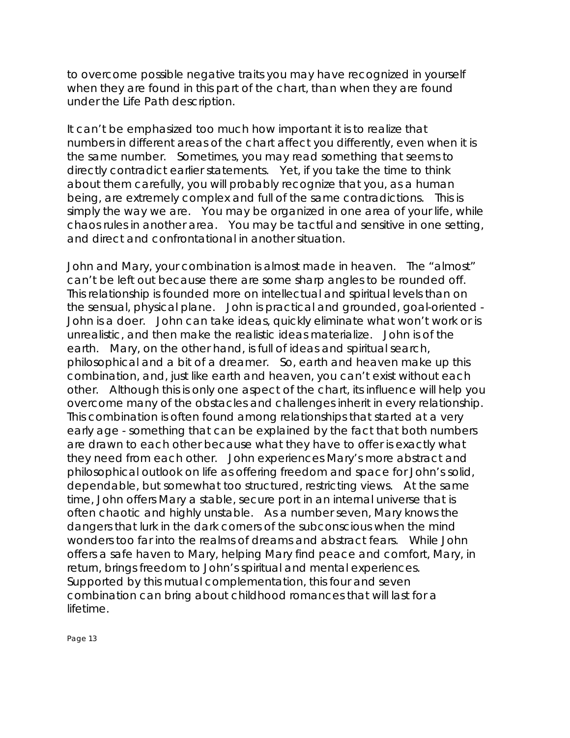to overcome possible negative traits you may have recognized in yourself when they are found in this part of the chart, than when they are found under the Life Path description.

It can't be emphasized too much how important it is to realize that numbers in different areas of the chart affect you differently, even when it is the same number. Sometimes, you may read something that seems to directly contradict earlier statements. Yet, if you take the time to think about them carefully, you will probably recognize that you, as a human being, are extremely complex and full of the same contradictions. This is simply the way we are. You may be organized in one area of your life, while chaos rules in another area. You may be tactful and sensitive in one setting, and direct and confrontational in another situation.

John and Mary, your combination is almost made in heaven. The "almost" can't be left out because there are some sharp angles to be rounded off. This relationship is founded more on intellectual and spiritual levels than on the sensual, physical plane. John is practical and grounded, goal-oriented - John is a doer. John can take ideas, quickly eliminate what won't work or is unrealistic, and then make the realistic ideas materialize. John is of the earth. Mary, on the other hand, is full of ideas and spiritual search, philosophical and a bit of a dreamer. So, earth and heaven make up this combination, and, just like earth and heaven, you can't exist without each other. Although this is only one aspect of the chart, its influence will help you overcome many of the obstacles and challenges inherit in every relationship. This combination is often found among relationships that started at a very early age - something that can be explained by the fact that both numbers are drawn to each other because what they have to offer is exactly what they need from each other. John experiences Mary's more abstract and philosophical outlook on life as offering freedom and space for John's solid, dependable, but somewhat too structured, restricting views. At the same time, John offers Mary a stable, secure port in an internal universe that is often chaotic and highly unstable. As a number seven, Mary knows the dangers that lurk in the dark corners of the subconscious when the mind wonders too far into the realms of dreams and abstract fears. While John offers a safe haven to Mary, helping Mary find peace and comfort, Mary, in return, brings freedom to John's spiritual and mental experiences. Supported by this mutual complementation, this four and seven combination can bring about childhood romances that will last for a lifetime.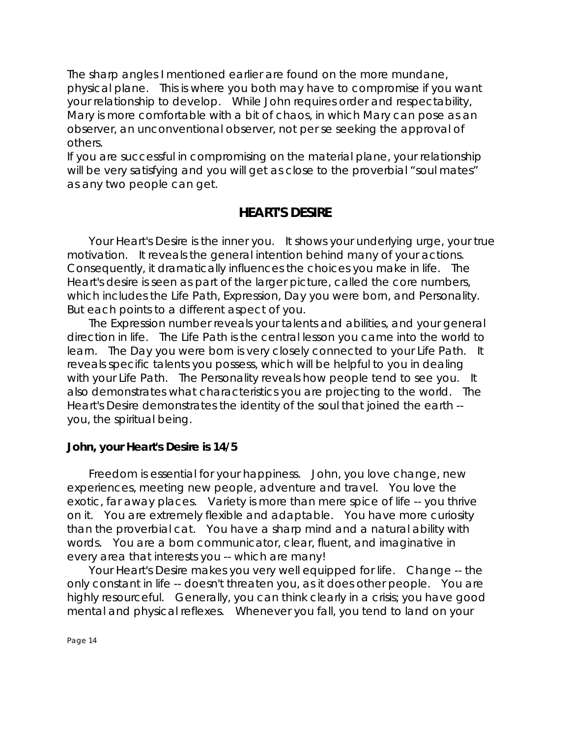The sharp angles I mentioned earlier are found on the more mundane, physical plane. This is where you both may have to compromise if you want your relationship to develop. While John requires order and respectability, Mary is more comfortable with a bit of chaos, in which Mary can pose as an observer, an unconventional observer, not per se seeking the approval of others.

If you are successful in compromising on the material plane, your relationship will be very satisfying and you will get as close to the proverbial "soul mates" as any two people can get.

# **HEART'S DESIRE**

 Your Heart's Desire is the inner you. It shows your underlying urge, your true motivation. It reveals the general intention behind many of your actions. Consequently, it dramatically influences the choices you make in life. The Heart's desire is seen as part of the larger picture, called the core numbers, which includes the Life Path, Expression, Day you were born, and Personality. But each points to a different aspect of you.

 The Expression number reveals your talents and abilities, and your general direction in life. The Life Path is the central lesson you came into the world to learn. The Day you were born is very closely connected to your Life Path. It reveals specific talents you possess, which will be helpful to you in dealing with your Life Path. The Personality reveals how people tend to see you. It also demonstrates what characteristics you are projecting to the world. The Heart's Desire demonstrates the identity of the soul that joined the earth - you, the spiritual being.

#### *John, your Heart's Desire is 14/5*

 Freedom is essential for your happiness. John, you love change, new experiences, meeting new people, adventure and travel. You love the exotic, far away places. Variety is more than mere spice of life -- you thrive on it. You are extremely flexible and adaptable. You have more curiosity than the proverbial cat. You have a sharp mind and a natural ability with words. You are a born communicator, clear, fluent, and imaginative in every area that interests you -- which are many!

 Your Heart's Desire makes you very well equipped for life. Change -- the only constant in life -- doesn't threaten you, as it does other people. You are highly resourceful. Generally, you can think clearly in a crisis; you have good mental and physical reflexes. Whenever you fall, you tend to land on your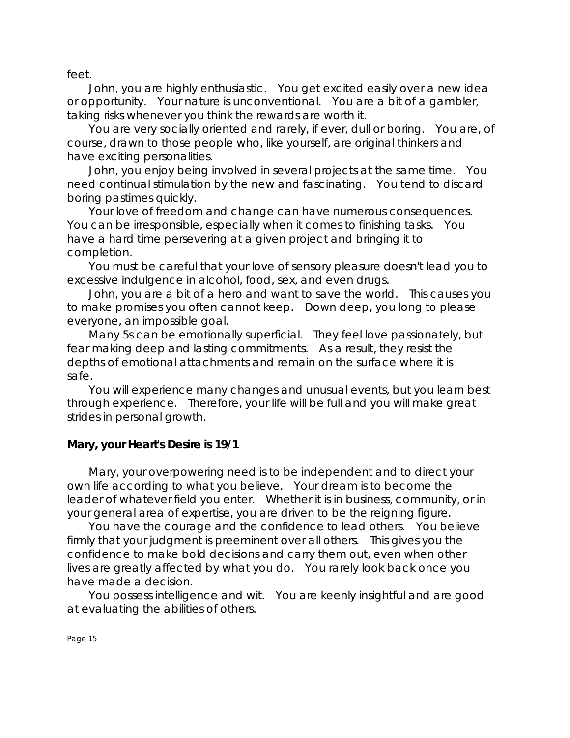feet.

 John, you are highly enthusiastic. You get excited easily over a new idea or opportunity. Your nature is unconventional. You are a bit of a gambler, taking risks whenever you think the rewards are worth it.

 You are very socially oriented and rarely, if ever, dull or boring. You are, of course, drawn to those people who, like yourself, are original thinkers and have exciting personalities.

 John, you enjoy being involved in several projects at the same time. You need continual stimulation by the new and fascinating. You tend to discard boring pastimes quickly.

 Your love of freedom and change can have numerous consequences. You can be irresponsible, especially when it comes to finishing tasks. You have a hard time persevering at a given project and bringing it to completion.

 You must be careful that your love of sensory pleasure doesn't lead you to excessive indulgence in alcohol, food, sex, and even drugs.

 John, you are a bit of a hero and want to save the world. This causes you to make promises you often cannot keep. Down deep, you long to please everyone, an impossible goal.

 Many 5s can be emotionally superficial. They feel love passionately, but fear making deep and lasting commitments. As a result, they resist the depths of emotional attachments and remain on the surface where it is safe.

 You will experience many changes and unusual events, but you learn best through experience. Therefore, your life will be full and you will make great strides in personal growth.

# *Mary, your Heart's Desire is 19/1*

 Mary, your overpowering need is to be independent and to direct your own life according to what you believe. Your dream is to become the leader of whatever field you enter. Whether it is in business, community, or in your general area of expertise, you are driven to be the reigning figure.

 You have the courage and the confidence to lead others. You believe firmly that your judgment is preeminent over all others. This gives you the confidence to make bold decisions and carry them out, even when other lives are greatly affected by what you do. You rarely look back once you have made a decision.

 You possess intelligence and wit. You are keenly insightful and are good at evaluating the abilities of others.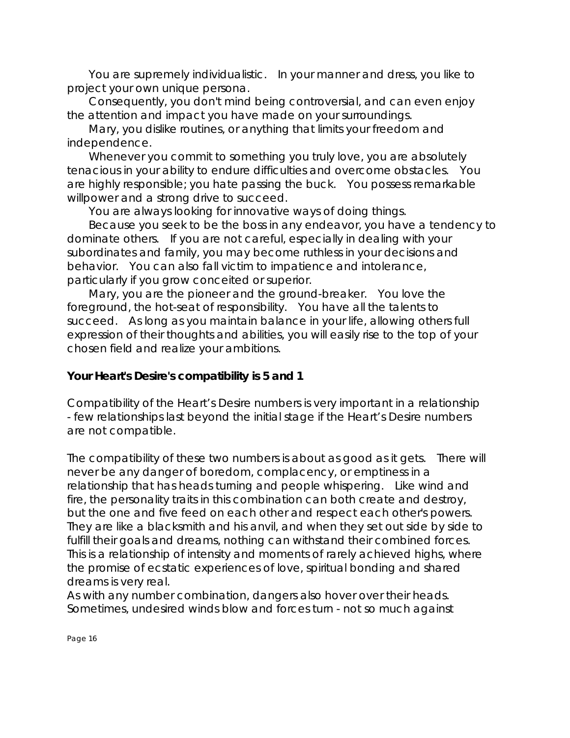You are supremely individualistic. In your manner and dress, you like to project your own unique persona.

 Consequently, you don't mind being controversial, and can even enjoy the attention and impact you have made on your surroundings.

 Mary, you dislike routines, or anything that limits your freedom and independence.

 Whenever you commit to something you truly love, you are absolutely tenacious in your ability to endure difficulties and overcome obstacles. You are highly responsible; you hate passing the buck. You possess remarkable willpower and a strong drive to succeed.

You are always looking for innovative ways of doing things.

 Because you seek to be the boss in any endeavor, you have a tendency to dominate others. If you are not careful, especially in dealing with your subordinates and family, you may become ruthless in your decisions and behavior. You can also fall victim to impatience and intolerance, particularly if you grow conceited or superior.

 Mary, you are the pioneer and the ground-breaker. You love the foreground, the hot-seat of responsibility. You have all the talents to succeed. As long as you maintain balance in your life, allowing others full expression of their thoughts and abilities, you will easily rise to the top of your chosen field and realize your ambitions.

# *Your Heart's Desire's compatibility is 5 and 1*

Compatibility of the Heart's Desire numbers is very important in a relationship - few relationships last beyond the initial stage if the Heart's Desire numbers are not compatible.

The compatibility of these two numbers is about as good as it gets. There will never be any danger of boredom, complacency, or emptiness in a relationship that has heads turning and people whispering. Like wind and fire, the personality traits in this combination can both create and destroy, but the one and five feed on each other and respect each other's powers. They are like a blacksmith and his anvil, and when they set out side by side to fulfill their goals and dreams, nothing can withstand their combined forces. This is a relationship of intensity and moments of rarely achieved highs, where the promise of ecstatic experiences of love, spiritual bonding and shared dreams is very real.

As with any number combination, dangers also hover over their heads. Sometimes, undesired winds blow and forces turn - not so much against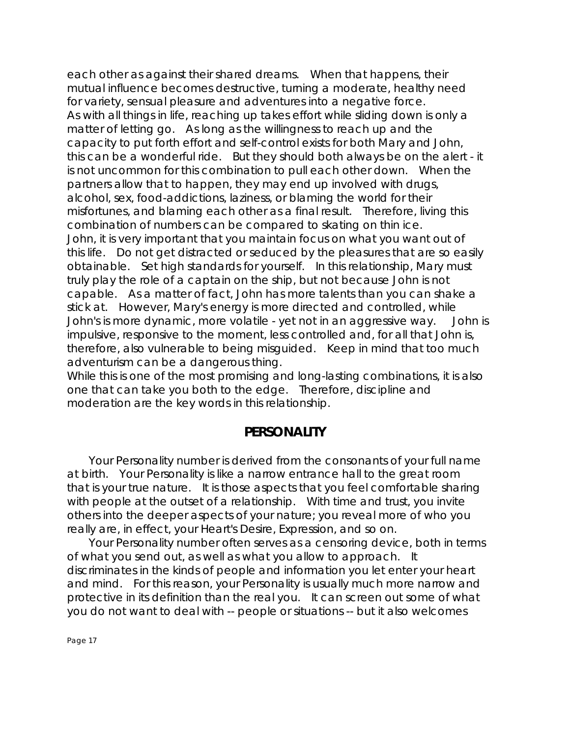each other as against their shared dreams. When that happens, their mutual influence becomes destructive, turning a moderate, healthy need for variety, sensual pleasure and adventures into a negative force. As with all things in life, reaching up takes effort while sliding down is only a matter of letting go. As long as the willingness to reach up and the capacity to put forth effort and self-control exists for both Mary and John, this can be a wonderful ride. But they should both always be on the alert - it is not uncommon for this combination to pull each other down. When the partners allow that to happen, they may end up involved with drugs, alcohol, sex, food-addictions, laziness, or blaming the world for their misfortunes, and blaming each other as a final result. Therefore, living this combination of numbers can be compared to skating on thin ice. John, it is very important that you maintain focus on what you want out of this life. Do not get distracted or seduced by the pleasures that are so easily obtainable. Set high standards for yourself. In this relationship, Mary must truly play the role of a captain on the ship, but not because John is not capable. As a matter of fact, John has more talents than you can shake a stick at. However, Mary's energy is more directed and controlled, while John's is more dynamic, more volatile - yet not in an aggressive way. John is impulsive, responsive to the moment, less controlled and, for all that John is, therefore, also vulnerable to being misguided. Keep in mind that too much adventurism can be a dangerous thing.

While this is one of the most promising and long-lasting combinations, it is also one that can take you both to the edge. Therefore, discipline and moderation are the key words in this relationship.

# **PERSONALITY**

 Your Personality number is derived from the consonants of your full name at birth. Your Personality is like a narrow entrance hall to the great room that is your true nature. It is those aspects that you feel comfortable sharing with people at the outset of a relationship. With time and trust, you invite others into the deeper aspects of your nature; you reveal more of who you really are, in effect, your Heart's Desire, Expression, and so on.

 Your Personality number often serves as a censoring device, both in terms of what you send out, as well as what you allow to approach. It discriminates in the kinds of people and information you let enter your heart and mind. For this reason, your Personality is usually much more narrow and protective in its definition than the real you. It can screen out some of what you do not want to deal with -- people or situations -- but it also welcomes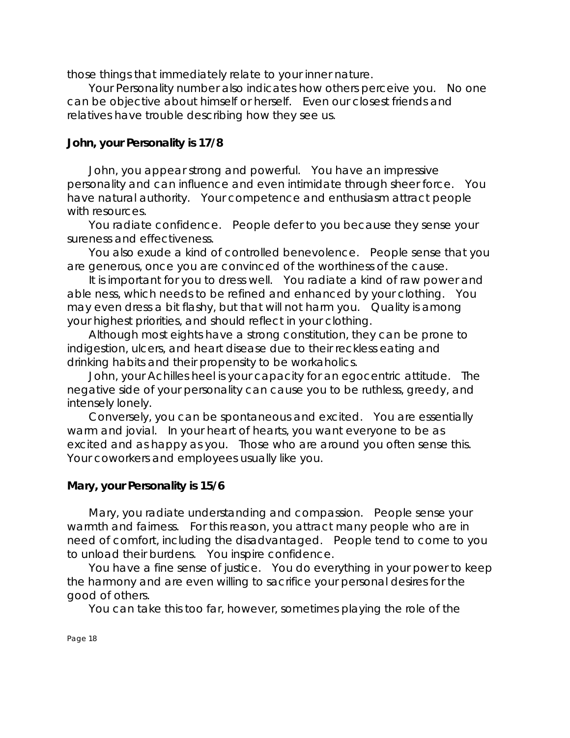those things that immediately relate to your inner nature.

 Your Personality number also indicates how others perceive you. No one can be objective about himself or herself. Even our closest friends and relatives have trouble describing how they see us.

#### *John, your Personality is 17/8*

 John, you appear strong and powerful. You have an impressive personality and can influence and even intimidate through sheer force. You have natural authority. Your competence and enthusiasm attract people with resources.

 You radiate confidence. People defer to you because they sense your sureness and effectiveness.

 You also exude a kind of controlled benevolence. People sense that you are generous, once you are convinced of the worthiness of the cause.

 It is important for you to dress well. You radiate a kind of raw power and able ness, which needs to be refined and enhanced by your clothing. You may even dress a bit flashy, but that will not harm you. Quality is among your highest priorities, and should reflect in your clothing.

 Although most eights have a strong constitution, they can be prone to indigestion, ulcers, and heart disease due to their reckless eating and drinking habits and their propensity to be workaholics.

 John, your Achilles heel is your capacity for an egocentric attitude. The negative side of your personality can cause you to be ruthless, greedy, and intensely lonely.

 Conversely, you can be spontaneous and excited. You are essentially warm and jovial. In your heart of hearts, you want everyone to be as excited and as happy as you. Those who are around you often sense this. Your coworkers and employees usually like you.

#### *Mary, your Personality is 15/6*

 Mary, you radiate understanding and compassion. People sense your warmth and fairness. For this reason, you attract many people who are in need of comfort, including the disadvantaged. People tend to come to you to unload their burdens. You inspire confidence.

 You have a fine sense of justice. You do everything in your power to keep the harmony and are even willing to sacrifice your personal desires for the good of others.

You can take this too far, however, sometimes playing the role of the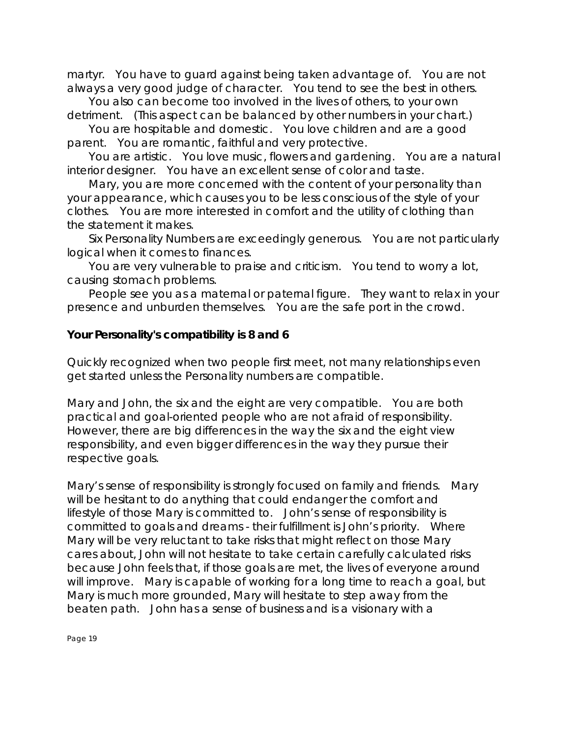martyr. You have to guard against being taken advantage of. You are not always a very good judge of character. You tend to see the best in others.

 You also can become too involved in the lives of others, to your own detriment. (This aspect can be balanced by other numbers in your chart.)

 You are hospitable and domestic. You love children and are a good parent. You are romantic, faithful and very protective.

 You are artistic. You love music, flowers and gardening. You are a natural interior designer. You have an excellent sense of color and taste.

 Mary, you are more concerned with the content of your personality than your appearance, which causes you to be less conscious of the style of your clothes. You are more interested in comfort and the utility of clothing than the statement it makes.

 Six Personality Numbers are exceedingly generous. You are not particularly logical when it comes to finances.

 You are very vulnerable to praise and criticism. You tend to worry a lot, causing stomach problems.

 People see you as a maternal or paternal figure. They want to relax in your presence and unburden themselves. You are the safe port in the crowd.

# *Your Personality's compatibility is 8 and 6*

Quickly recognized when two people first meet, not many relationships even get started unless the Personality numbers are compatible.

Mary and John, the six and the eight are very compatible. You are both practical and goal-oriented people who are not afraid of responsibility. However, there are big differences in the way the six and the eight view responsibility, and even bigger differences in the way they pursue their respective goals.

Mary's sense of responsibility is strongly focused on family and friends. Mary will be hesitant to do anything that could endanger the comfort and lifestyle of those Mary is committed to. John's sense of responsibility is committed to goals and dreams - their fulfillment is John's priority. Where Mary will be very reluctant to take risks that might reflect on those Mary cares about, John will not hesitate to take certain carefully calculated risks because John feels that, if those goals are met, the lives of everyone around will improve. Mary is capable of working for a long time to reach a goal, but Mary is much more grounded, Mary will hesitate to step away from the beaten path. John has a sense of business and is a visionary with a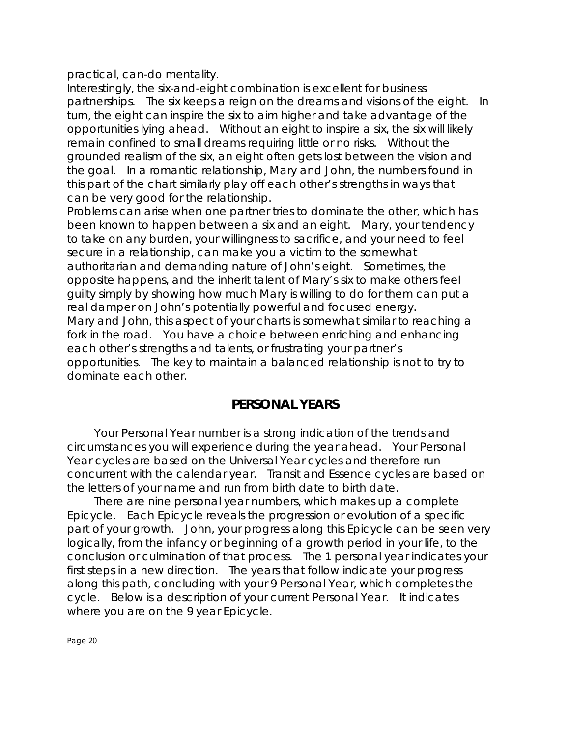practical, can-do mentality.

Interestingly, the six-and-eight combination is excellent for business partnerships. The six keeps a reign on the dreams and visions of the eight. In turn, the eight can inspire the six to aim higher and take advantage of the opportunities lying ahead. Without an eight to inspire a six, the six will likely remain confined to small dreams requiring little or no risks. Without the grounded realism of the six, an eight often gets lost between the vision and the goal. In a romantic relationship, Mary and John, the numbers found in this part of the chart similarly play off each other's strengths in ways that can be very good for the relationship.

Problems can arise when one partner tries to dominate the other, which has been known to happen between a six and an eight. Mary, your tendency to take on any burden, your willingness to sacrifice, and your need to feel secure in a relationship, can make you a victim to the somewhat authoritarian and demanding nature of John's eight. Sometimes, the opposite happens, and the inherit talent of Mary's six to make others feel guilty simply by showing how much Mary is willing to do for them can put a real damper on John's potentially powerful and focused energy. Mary and John, this aspect of your charts is somewhat similar to reaching a fork in the road. You have a choice between enriching and enhancing each other's strengths and talents, or frustrating your partner's opportunities. The key to maintain a balanced relationship is not to try to dominate each other.

# **PERSONAL YEARS**

 Your Personal Year number is a strong indication of the trends and circumstances you will experience during the year ahead. Your Personal Year cycles are based on the Universal Year cycles and therefore run concurrent with the calendar year. Transit and Essence cycles are based on the letters of your name and run from birth date to birth date.

 There are nine personal year numbers, which makes up a complete Epicycle. Each Epicycle reveals the progression or evolution of a specific part of your growth. John, your progress along this Epicycle can be seen very logically, from the infancy or beginning of a growth period in your life, to the conclusion or culmination of that process. The 1 personal year indicates your first steps in a new direction. The years that follow indicate your progress along this path, concluding with your 9 Personal Year, which completes the cycle. Below is a description of your current Personal Year. It indicates where you are on the 9 year Epicycle.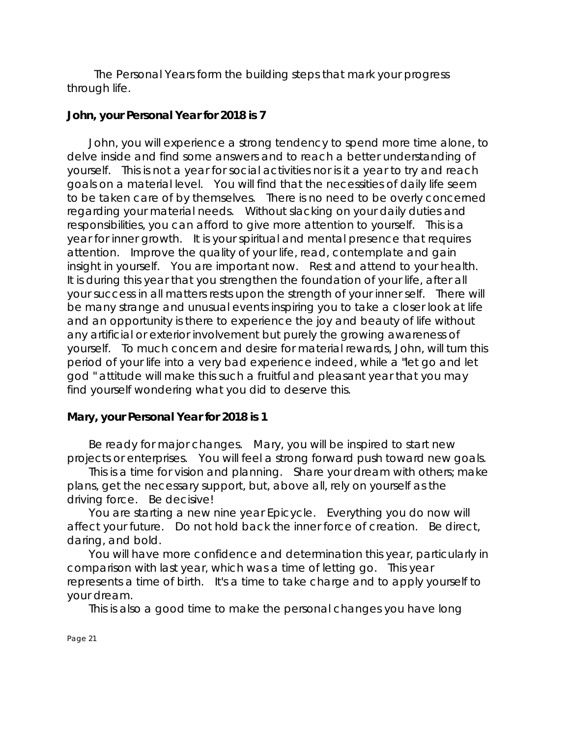The Personal Years form the building steps that mark your progress through life.

#### *John, your Personal Year for 2018 is 7*

 John, you will experience a strong tendency to spend more time alone, to delve inside and find some answers and to reach a better understanding of yourself. This is not a year for social activities nor is it a year to try and reach goals on a material level. You will find that the necessities of daily life seem to be taken care of by themselves. There is no need to be overly concerned regarding your material needs. Without slacking on your daily duties and responsibilities, you can afford to give more attention to yourself. This is a year for inner growth. It is your spiritual and mental presence that requires attention. Improve the quality of your life, read, contemplate and gain insight in yourself. You are important now. Rest and attend to your health. It is during this year that you strengthen the foundation of your life, after all your success in all matters rests upon the strength of your inner self. There will be many strange and unusual events inspiring you to take a closer look at life and an opportunity is there to experience the joy and beauty of life without any artificial or exterior involvement but purely the growing awareness of yourself. To much concern and desire for material rewards, John, will turn this period of your life into a very bad experience indeed, while a "let go and let god " attitude will make this such a fruitful and pleasant year that you may find yourself wondering what you did to deserve this.

# *Mary, your Personal Year for 2018 is 1*

 Be ready for major changes. Mary, you will be inspired to start new projects or enterprises. You will feel a strong forward push toward new goals.

 This is a time for vision and planning. Share your dream with others; make plans, get the necessary support, but, above all, rely on yourself as the driving force. Be decisive!

 You are starting a new nine year Epicycle. Everything you do now will affect your future. Do not hold back the inner force of creation. Be direct, daring, and bold.

 You will have more confidence and determination this year, particularly in comparison with last year, which was a time of letting go. This year represents a time of birth. It's a time to take charge and to apply yourself to your dream.

This is also a good time to make the personal changes you have long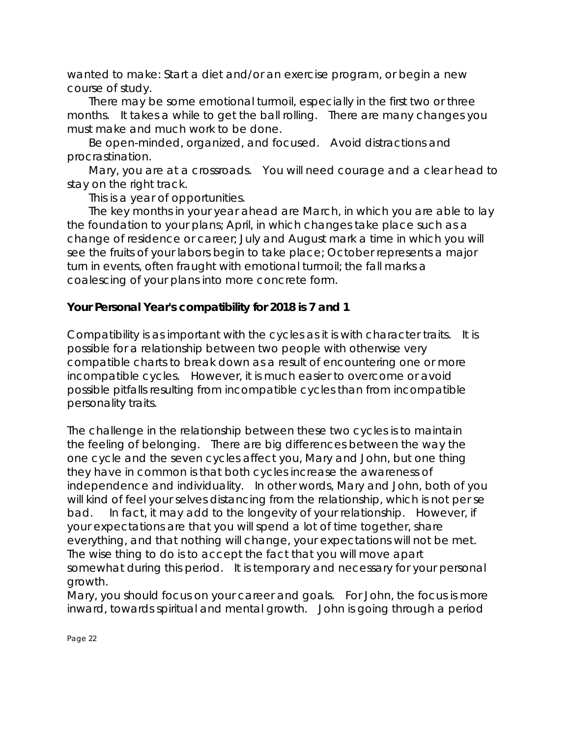wanted to make: Start a diet and/or an exercise program, or begin a new course of study.

 There may be some emotional turmoil, especially in the first two or three months. It takes a while to get the ball rolling. There are many changes you must make and much work to be done.

 Be open-minded, organized, and focused. Avoid distractions and procrastination.

 Mary, you are at a crossroads. You will need courage and a clear head to stay on the right track.

This is a year of opportunities.

 The key months in your year ahead are March, in which you are able to lay the foundation to your plans; April, in which changes take place such as a change of residence or career; July and August mark a time in which you will see the fruits of your labors begin to take place; October represents a major turn in events, often fraught with emotional turmoil; the fall marks a coalescing of your plans into more concrete form.

# *Your Personal Year's compatibility for 2018 is 7 and 1*

Compatibility is as important with the cycles as it is with character traits. It is possible for a relationship between two people with otherwise very compatible charts to break down as a result of encountering one or more incompatible cycles. However, it is much easier to overcome or avoid possible pitfalls resulting from incompatible cycles than from incompatible personality traits.

The challenge in the relationship between these two cycles is to maintain the feeling of belonging. There are big differences between the way the one cycle and the seven cycles affect you, Mary and John, but one thing they have in common is that both cycles increase the awareness of independence and individuality. In other words, Mary and John, both of you will kind of feel your selves distancing from the relationship, which is not per se bad. In fact, it may add to the longevity of your relationship. However, if your expectations are that you will spend a lot of time together, share everything, and that nothing will change, your expectations will not be met. The wise thing to do is to accept the fact that you will move apart somewhat during this period. It is temporary and necessary for your personal growth.

Mary, you should focus on your career and goals. For John, the focus is more inward, towards spiritual and mental growth. John is going through a period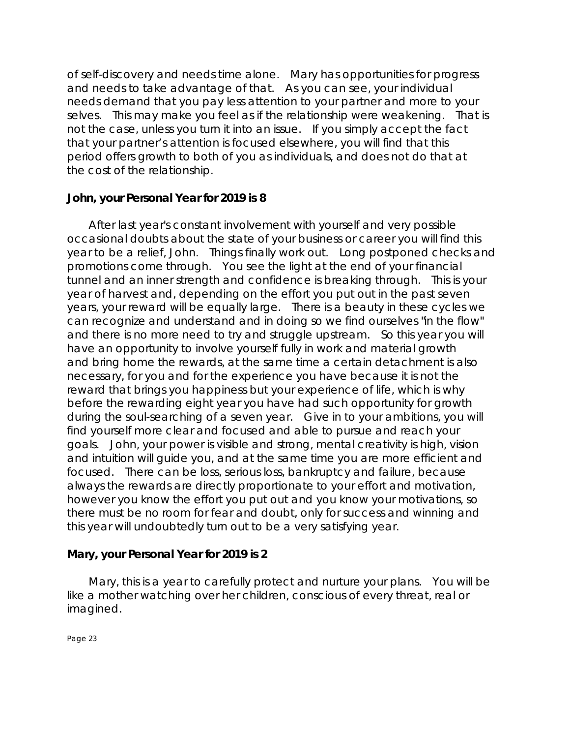of self-discovery and needs time alone. Mary has opportunities for progress and needs to take advantage of that. As you can see, your individual needs demand that you pay less attention to your partner and more to your selves. This may make you feel as if the relationship were weakening. That is not the case, unless you turn it into an issue. If you simply accept the fact that your partner's attention is focused elsewhere, you will find that this period offers growth to both of you as individuals, and does not do that at the cost of the relationship.

#### *John, your Personal Year for 2019 is 8*

 After last year's constant involvement with yourself and very possible occasional doubts about the state of your business or career you will find this year to be a relief, John. Things finally work out. Long postponed checks and promotions come through. You see the light at the end of your financial tunnel and an inner strength and confidence is breaking through. This is your year of harvest and, depending on the effort you put out in the past seven years, your reward will be equally large. There is a beauty in these cycles we can recognize and understand and in doing so we find ourselves "in the flow" and there is no more need to try and struggle upstream. So this year you will have an opportunity to involve yourself fully in work and material growth and bring home the rewards, at the same time a certain detachment is also necessary, for you and for the experience you have because it is not the reward that brings you happiness but your experience of life, which is why before the rewarding eight year you have had such opportunity for growth during the soul-searching of a seven year. Give in to your ambitions, you will find yourself more clear and focused and able to pursue and reach your goals. John, your power is visible and strong, mental creativity is high, vision and intuition will guide you, and at the same time you are more efficient and focused. There can be loss, serious loss, bankruptcy and failure, because always the rewards are directly proportionate to your effort and motivation, however you know the effort you put out and you know your motivations, so there must be no room for fear and doubt, only for success and winning and this year will undoubtedly turn out to be a very satisfying year.

#### *Mary, your Personal Year for 2019 is 2*

 Mary, this is a year to carefully protect and nurture your plans. You will be like a mother watching over her children, conscious of every threat, real or imagined.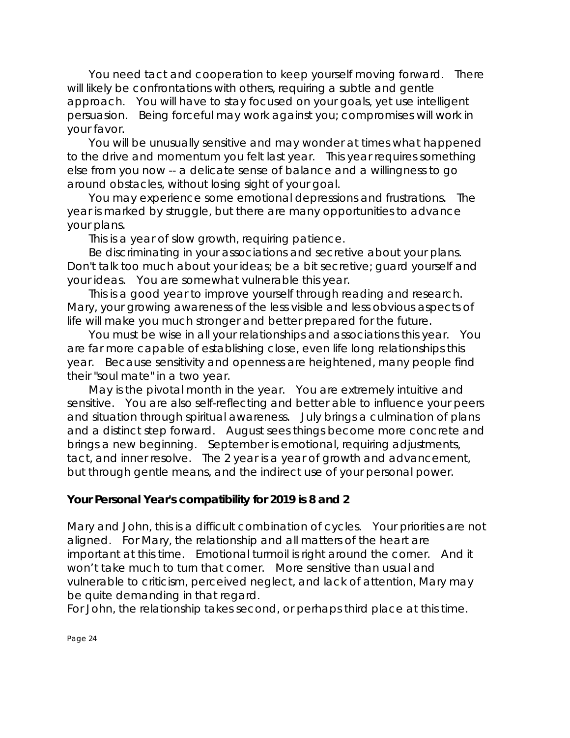You need tact and cooperation to keep yourself moving forward. There will likely be confrontations with others, requiring a subtle and gentle approach. You will have to stay focused on your goals, yet use intelligent persuasion. Being forceful may work against you; compromises will work in your favor.

 You will be unusually sensitive and may wonder at times what happened to the drive and momentum you felt last year. This year requires something else from you now -- a delicate sense of balance and a willingness to go around obstacles, without losing sight of your goal.

 You may experience some emotional depressions and frustrations. The year is marked by struggle, but there are many opportunities to advance your plans.

This is a year of slow growth, requiring patience.

 Be discriminating in your associations and secretive about your plans. Don't talk too much about your ideas; be a bit secretive; guard yourself and your ideas. You are somewhat vulnerable this year.

 This is a good year to improve yourself through reading and research. Mary, your growing awareness of the less visible and less obvious aspects of life will make you much stronger and better prepared for the future.

 You must be wise in all your relationships and associations this year. You are far more capable of establishing close, even life long relationships this year. Because sensitivity and openness are heightened, many people find their "soul mate" in a two year.

 May is the pivotal month in the year. You are extremely intuitive and sensitive. You are also self-reflecting and better able to influence your peers and situation through spiritual awareness. July brings a culmination of plans and a distinct step forward. August sees things become more concrete and brings a new beginning. September is emotional, requiring adjustments, tact, and inner resolve. The 2 year is a year of growth and advancement, but through gentle means, and the indirect use of your personal power.

# *Your Personal Year's compatibility for 2019 is 8 and 2*

Mary and John, this is a difficult combination of cycles. Your priorities are not aligned. For Mary, the relationship and all matters of the heart are important at this time. Emotional turmoil is right around the corner. And it won't take much to turn that corner. More sensitive than usual and vulnerable to criticism, perceived neglect, and lack of attention, Mary may be quite demanding in that regard.

For John, the relationship takes second, or perhaps third place at this time.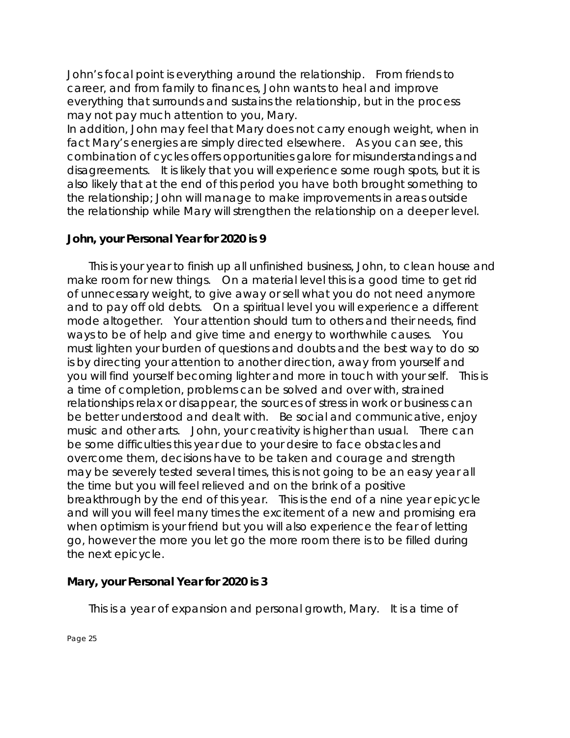John's focal point is everything around the relationship. From friends to career, and from family to finances, John wants to heal and improve everything that surrounds and sustains the relationship, but in the process may not pay much attention to you, Mary.

In addition, John may feel that Mary does not carry enough weight, when in fact Mary's energies are simply directed elsewhere. As you can see, this combination of cycles offers opportunities galore for misunderstandings and disagreements. It is likely that you will experience some rough spots, but it is also likely that at the end of this period you have both brought something to the relationship; John will manage to make improvements in areas outside the relationship while Mary will strengthen the relationship on a deeper level.

#### *John, your Personal Year for 2020 is 9*

 This is your year to finish up all unfinished business, John, to clean house and make room for new things. On a material level this is a good time to get rid of unnecessary weight, to give away or sell what you do not need anymore and to pay off old debts. On a spiritual level you will experience a different mode altogether. Your attention should turn to others and their needs, find ways to be of help and give time and energy to worthwhile causes. You must lighten your burden of questions and doubts and the best way to do so is by directing your attention to another direction, away from yourself and you will find yourself becoming lighter and more in touch with your self. This is a time of completion, problems can be solved and over with, strained relationships relax or disappear, the sources of stress in work or business can be better understood and dealt with. Be social and communicative, enjoy music and other arts. John, your creativity is higher than usual. There can be some difficulties this year due to your desire to face obstacles and overcome them, decisions have to be taken and courage and strength may be severely tested several times, this is not going to be an easy year all the time but you will feel relieved and on the brink of a positive breakthrough by the end of this year. This is the end of a nine year epicycle and will you will feel many times the excitement of a new and promising era when optimism is your friend but you will also experience the fear of letting go, however the more you let go the more room there is to be filled during the next epicycle.

#### *Mary, your Personal Year for 2020 is 3*

This is a year of expansion and personal growth, Mary. It is a time of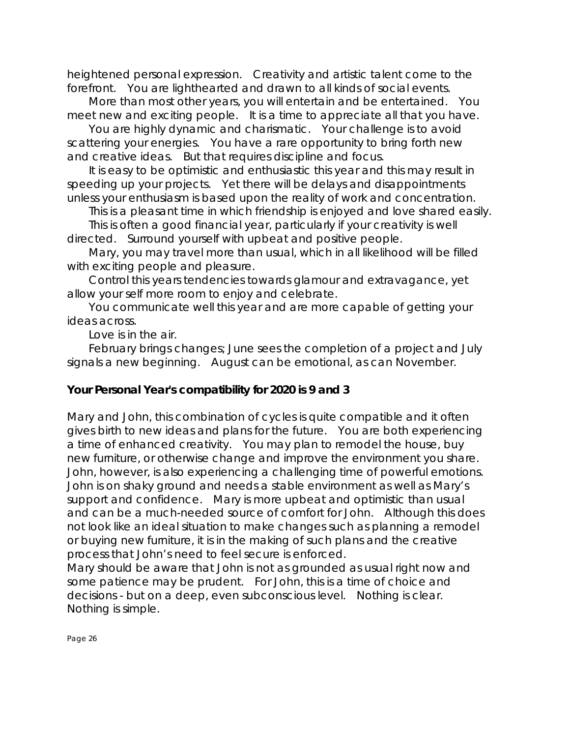heightened personal expression. Creativity and artistic talent come to the forefront. You are lighthearted and drawn to all kinds of social events.

 More than most other years, you will entertain and be entertained. You meet new and exciting people. It is a time to appreciate all that you have.

 You are highly dynamic and charismatic. Your challenge is to avoid scattering your energies. You have a rare opportunity to bring forth new and creative ideas. But that requires discipline and focus.

 It is easy to be optimistic and enthusiastic this year and this may result in speeding up your projects. Yet there will be delays and disappointments unless your enthusiasm is based upon the reality of work and concentration.

This is a pleasant time in which friendship is enjoyed and love shared easily.

 This is often a good financial year, particularly if your creativity is well directed. Surround yourself with upbeat and positive people.

 Mary, you may travel more than usual, which in all likelihood will be filled with exciting people and pleasure.

 Control this years tendencies towards glamour and extravagance, yet allow your self more room to enjoy and celebrate.

 You communicate well this year and are more capable of getting your ideas across.

Love is in the air.

 February brings changes; June sees the completion of a project and July signals a new beginning. August can be emotional, as can November.

# *Your Personal Year's compatibility for 2020 is 9 and 3*

Mary and John, this combination of cycles is quite compatible and it often gives birth to new ideas and plans for the future. You are both experiencing a time of enhanced creativity. You may plan to remodel the house, buy new furniture, or otherwise change and improve the environment you share. John, however, is also experiencing a challenging time of powerful emotions. John is on shaky ground and needs a stable environment as well as Mary's support and confidence. Mary is more upbeat and optimistic than usual and can be a much-needed source of comfort for John. Although this does not look like an ideal situation to make changes such as planning a remodel or buying new furniture, it is in the making of such plans and the creative process that John's need to feel secure is enforced.

Mary should be aware that John is not as grounded as usual right now and some patience may be prudent. For John, this is a time of choice and decisions - but on a deep, even subconscious level. Nothing is clear. Nothing is simple.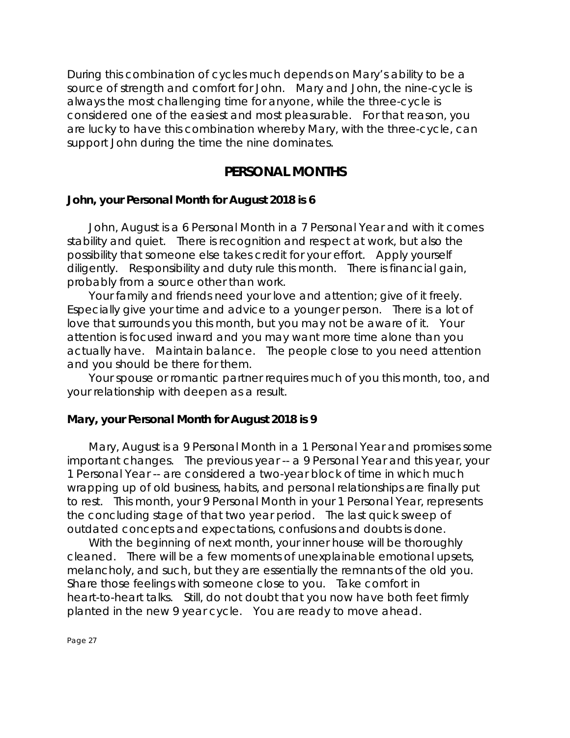During this combination of cycles much depends on Mary's ability to be a source of strength and comfort for John. Mary and John, the nine-cycle is always the most challenging time for anyone, while the three-cycle is considered one of the easiest and most pleasurable. For that reason, you are lucky to have this combination whereby Mary, with the three-cycle, can support John during the time the nine dominates.

# **PERSONAL MONTHS**

#### *John, your Personal Month for August 2018 is 6*

 John, August is a 6 Personal Month in a 7 Personal Year and with it comes stability and quiet. There is recognition and respect at work, but also the possibility that someone else takes credit for your effort. Apply yourself diligently. Responsibility and duty rule this month. There is financial gain, probably from a source other than work.

 Your family and friends need your love and attention; give of it freely. Especially give your time and advice to a younger person. There is a lot of love that surrounds you this month, but you may not be aware of it. Your attention is focused inward and you may want more time alone than you actually have. Maintain balance. The people close to you need attention and you should be there for them.

 Your spouse or romantic partner requires much of you this month, too, and your relationship with deepen as a result.

#### *Mary, your Personal Month for August 2018 is 9*

 Mary, August is a 9 Personal Month in a 1 Personal Year and promises some important changes. The previous year -- a 9 Personal Year and this year, your 1 Personal Year -- are considered a two-year block of time in which much wrapping up of old business, habits, and personal relationships are finally put to rest. This month, your 9 Personal Month in your 1 Personal Year, represents the concluding stage of that two year period. The last quick sweep of outdated concepts and expectations, confusions and doubts is done.

 With the beginning of next month, your inner house will be thoroughly cleaned. There will be a few moments of unexplainable emotional upsets, melancholy, and such, but they are essentially the remnants of the old you. Share those feelings with someone close to you. Take comfort in heart-to-heart talks. Still, do not doubt that you now have both feet firmly planted in the new 9 year cycle. You are ready to move ahead.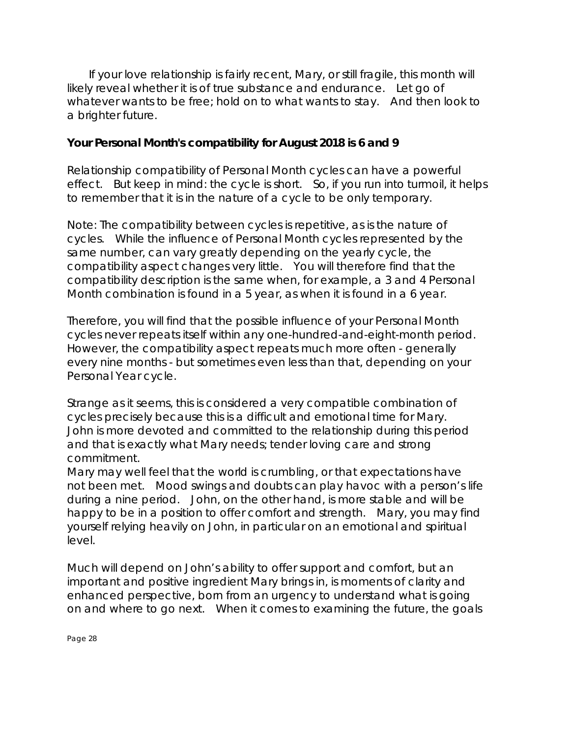If your love relationship is fairly recent, Mary, or still fragile, this month will likely reveal whether it is of true substance and endurance. Let go of whatever wants to be free; hold on to what wants to stay. And then look to a brighter future.

### *Your Personal Month's compatibility for August 2018 is 6 and 9*

Relationship compatibility of Personal Month cycles can have a powerful effect. But keep in mind: the cycle is short. So, if you run into turmoil, it helps to remember that it is in the nature of a cycle to be only temporary.

Note: The compatibility between cycles is repetitive, as is the nature of cycles. While the influence of Personal Month cycles represented by the same number, can vary greatly depending on the yearly cycle, the compatibility aspect changes very little. You will therefore find that the compatibility description is the same when, for example, a 3 and 4 Personal Month combination is found in a 5 year, as when it is found in a 6 year.

Therefore, you will find that the possible influence of your Personal Month cycles never repeats itself within any one-hundred-and-eight-month period. However, the compatibility aspect repeats much more often - generally every nine months - but sometimes even less than that, depending on your Personal Year cycle.

Strange as it seems, this is considered a very compatible combination of cycles precisely because this is a difficult and emotional time for Mary. John is more devoted and committed to the relationship during this period and that is exactly what Mary needs; tender loving care and strong commitment.

Mary may well feel that the world is crumbling, or that expectations have not been met. Mood swings and doubts can play havoc with a person's life during a nine period. John, on the other hand, is more stable and will be happy to be in a position to offer comfort and strength. Mary, you may find yourself relying heavily on John, in particular on an emotional and spiritual level.

Much will depend on John's ability to offer support and comfort, but an important and positive ingredient Mary brings in, is moments of clarity and enhanced perspective, born from an urgency to understand what is going on and where to go next. When it comes to examining the future, the goals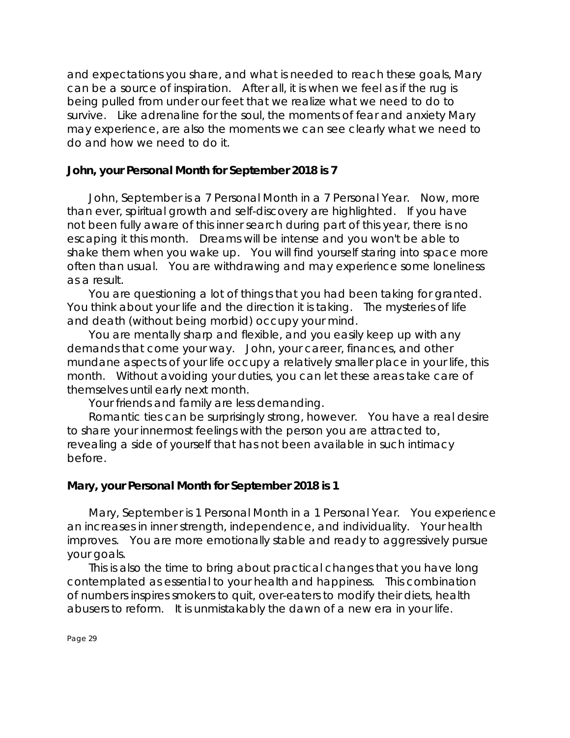and expectations you share, and what is needed to reach these goals, Mary can be a source of inspiration. After all, it is when we feel as if the rug is being pulled from under our feet that we realize what we need to do to survive. Like adrenaline for the soul, the moments of fear and anxiety Mary may experience, are also the moments we can see clearly what we need to do and how we need to do it.

#### *John, your Personal Month for September 2018 is 7*

 John, September is a 7 Personal Month in a 7 Personal Year. Now, more than ever, spiritual growth and self-discovery are highlighted. If you have not been fully aware of this inner search during part of this year, there is no escaping it this month. Dreams will be intense and you won't be able to shake them when you wake up. You will find yourself staring into space more often than usual. You are withdrawing and may experience some loneliness as a result.

 You are questioning a lot of things that you had been taking for granted. You think about your life and the direction it is taking. The mysteries of life and death (without being morbid) occupy your mind.

 You are mentally sharp and flexible, and you easily keep up with any demands that come your way. John, your career, finances, and other mundane aspects of your life occupy a relatively smaller place in your life, this month. Without avoiding your duties, you can let these areas take care of themselves until early next month.

Your friends and family are less demanding.

 Romantic ties can be surprisingly strong, however. You have a real desire to share your innermost feelings with the person you are attracted to, revealing a side of yourself that has not been available in such intimacy before.

#### *Mary, your Personal Month for September 2018 is 1*

 Mary, September is 1 Personal Month in a 1 Personal Year. You experience an increases in inner strength, independence, and individuality. Your health improves. You are more emotionally stable and ready to aggressively pursue your goals.

 This is also the time to bring about practical changes that you have long contemplated as essential to your health and happiness. This combination of numbers inspires smokers to quit, over-eaters to modify their diets, health abusers to reform. It is unmistakably the dawn of a new era in your life.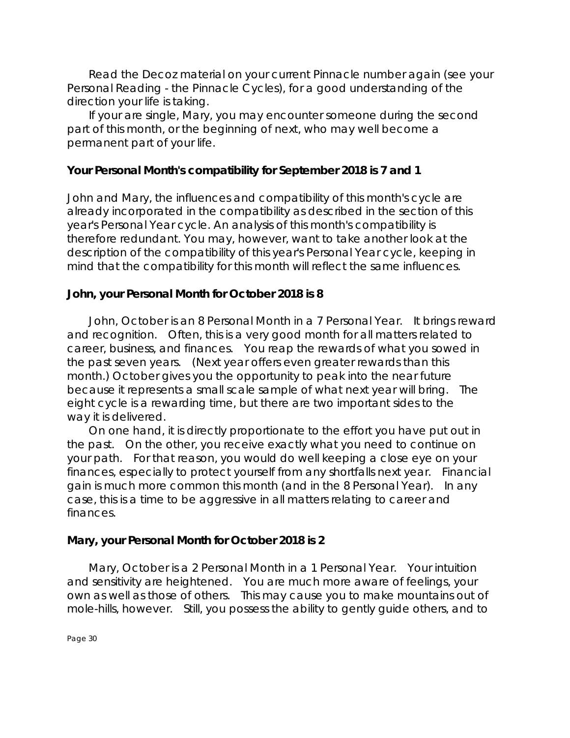Read the Decoz material on your current Pinnacle number again (see your Personal Reading - the Pinnacle Cycles), for a good understanding of the direction your life is taking.

 If your are single, Mary, you may encounter someone during the second part of this month, or the beginning of next, who may well become a permanent part of your life.

# *Your Personal Month's compatibility for September 2018 is 7 and 1*

John and Mary, the influences and compatibility of this month's cycle are already incorporated in the compatibility as described in the section of this year's Personal Year cycle. An analysis of this month's compatibility is therefore redundant. You may, however, want to take another look at the description of the compatibility of this year's Personal Year cycle, keeping in mind that the compatibility for this month will reflect the same influences.

# *John, your Personal Month for October 2018 is 8*

 John, October is an 8 Personal Month in a 7 Personal Year. It brings reward and recognition. Often, this is a very good month for all matters related to career, business, and finances. You reap the rewards of what you sowed in the past seven years. (Next year offers even greater rewards than this month.) October gives you the opportunity to peak into the near future because it represents a small scale sample of what next year will bring. The eight cycle is a rewarding time, but there are two important sides to the way it is delivered.

 On one hand, it is directly proportionate to the effort you have put out in the past. On the other, you receive exactly what you need to continue on your path. For that reason, you would do well keeping a close eye on your finances, especially to protect yourself from any shortfalls next year. Financial gain is much more common this month (and in the 8 Personal Year). In any case, this is a time to be aggressive in all matters relating to career and finances.

# *Mary, your Personal Month for October 2018 is 2*

 Mary, October is a 2 Personal Month in a 1 Personal Year. Your intuition and sensitivity are heightened. You are much more aware of feelings, your own as well as those of others. This may cause you to make mountains out of mole-hills, however. Still, you possess the ability to gently guide others, and to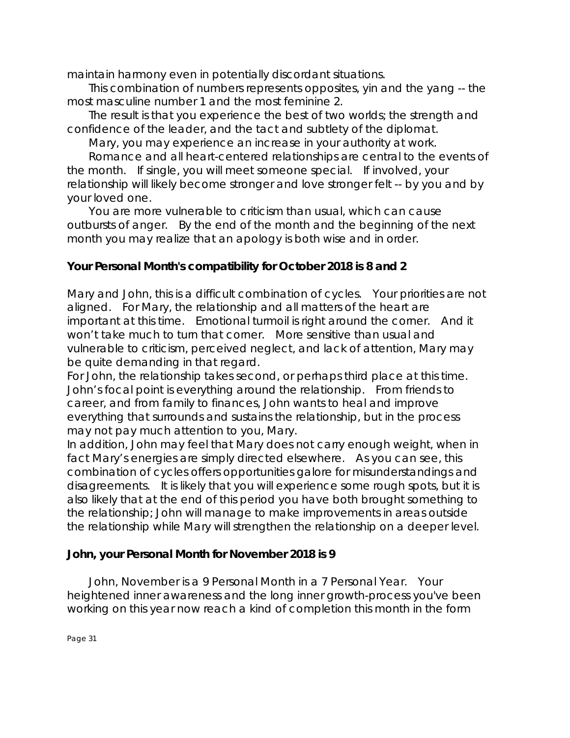maintain harmony even in potentially discordant situations.

 This combination of numbers represents opposites, yin and the yang -- the most masculine number 1 and the most feminine 2.

 The result is that you experience the best of two worlds; the strength and confidence of the leader, and the tact and subtlety of the diplomat.

Mary, you may experience an increase in your authority at work.

 Romance and all heart-centered relationships are central to the events of the month. If single, you will meet someone special. If involved, your relationship will likely become stronger and love stronger felt -- by you and by your loved one.

 You are more vulnerable to criticism than usual, which can cause outbursts of anger. By the end of the month and the beginning of the next month you may realize that an apology is both wise and in order.

# *Your Personal Month's compatibility for October 2018 is 8 and 2*

Mary and John, this is a difficult combination of cycles. Your priorities are not aligned. For Mary, the relationship and all matters of the heart are important at this time. Emotional turmoil is right around the corner. And it won't take much to turn that corner. More sensitive than usual and vulnerable to criticism, perceived neglect, and lack of attention, Mary may be quite demanding in that regard.

For John, the relationship takes second, or perhaps third place at this time. John's focal point is everything around the relationship. From friends to career, and from family to finances, John wants to heal and improve everything that surrounds and sustains the relationship, but in the process may not pay much attention to you, Mary.

In addition, John may feel that Mary does not carry enough weight, when in fact Mary's energies are simply directed elsewhere. As you can see, this combination of cycles offers opportunities galore for misunderstandings and disagreements. It is likely that you will experience some rough spots, but it is also likely that at the end of this period you have both brought something to the relationship; John will manage to make improvements in areas outside the relationship while Mary will strengthen the relationship on a deeper level.

# *John, your Personal Month for November 2018 is 9*

 John, November is a 9 Personal Month in a 7 Personal Year. Your heightened inner awareness and the long inner growth-process you've been working on this year now reach a kind of completion this month in the form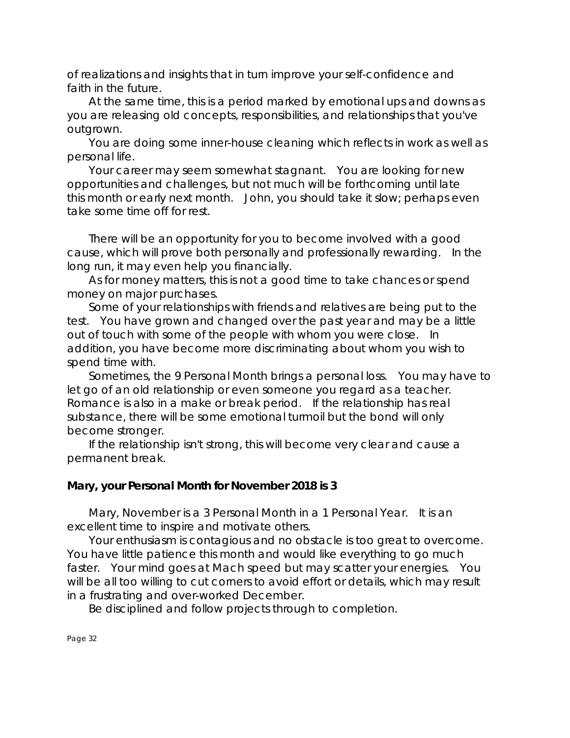of realizations and insights that in turn improve your self-confidence and faith in the future.

 At the same time, this is a period marked by emotional ups and downs as you are releasing old concepts, responsibilities, and relationships that you've outgrown.

 You are doing some inner-house cleaning which reflects in work as well as personal life.

 Your career may seem somewhat stagnant. You are looking for new opportunities and challenges, but not much will be forthcoming until late this month or early next month. John, you should take it slow; perhaps even take some time off for rest.

 There will be an opportunity for you to become involved with a good cause, which will prove both personally and professionally rewarding. In the long run, it may even help you financially.

 As for money matters, this is not a good time to take chances or spend money on major purchases.

 Some of your relationships with friends and relatives are being put to the test. You have grown and changed over the past year and may be a little out of touch with some of the people with whom you were close. In addition, you have become more discriminating about whom you wish to spend time with.

 Sometimes, the 9 Personal Month brings a personal loss. You may have to let go of an old relationship or even someone you regard as a teacher. Romance is also in a make or break period. If the relationship has real substance, there will be some emotional turmoil but the bond will only become stronger.

 If the relationship isn't strong, this will become very clear and cause a permanent break.

# *Mary, your Personal Month for November 2018 is 3*

 Mary, November is a 3 Personal Month in a 1 Personal Year. It is an excellent time to inspire and motivate others.

 Your enthusiasm is contagious and no obstacle is too great to overcome. You have little patience this month and would like everything to go much faster. Your mind goes at Mach speed but may scatter your energies. You will be all too willing to cut corners to avoid effort or details, which may result in a frustrating and over-worked December.

Be disciplined and follow projects through to completion.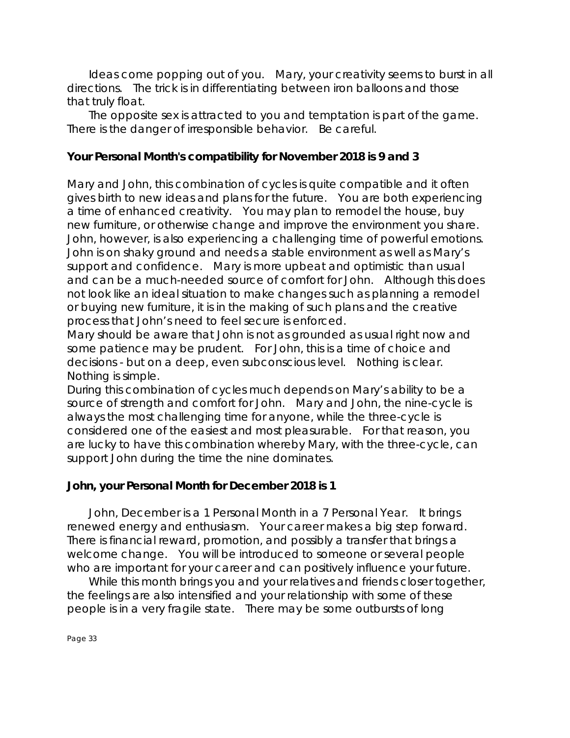Ideas come popping out of you. Mary, your creativity seems to burst in all directions. The trick is in differentiating between iron balloons and those that truly float.

 The opposite sex is attracted to you and temptation is part of the game. There is the danger of irresponsible behavior. Be careful.

### *Your Personal Month's compatibility for November 2018 is 9 and 3*

Mary and John, this combination of cycles is quite compatible and it often gives birth to new ideas and plans for the future. You are both experiencing a time of enhanced creativity. You may plan to remodel the house, buy new furniture, or otherwise change and improve the environment you share. John, however, is also experiencing a challenging time of powerful emotions. John is on shaky ground and needs a stable environment as well as Mary's support and confidence. Mary is more upbeat and optimistic than usual and can be a much-needed source of comfort for John. Although this does not look like an ideal situation to make changes such as planning a remodel or buying new furniture, it is in the making of such plans and the creative process that John's need to feel secure is enforced.

Mary should be aware that John is not as grounded as usual right now and some patience may be prudent. For John, this is a time of choice and decisions - but on a deep, even subconscious level. Nothing is clear. Nothing is simple.

During this combination of cycles much depends on Mary's ability to be a source of strength and comfort for John. Mary and John, the nine-cycle is always the most challenging time for anyone, while the three-cycle is considered one of the easiest and most pleasurable. For that reason, you are lucky to have this combination whereby Mary, with the three-cycle, can support John during the time the nine dominates.

# *John, your Personal Month for December 2018 is 1*

 John, December is a 1 Personal Month in a 7 Personal Year. It brings renewed energy and enthusiasm. Your career makes a big step forward. There is financial reward, promotion, and possibly a transfer that brings a welcome change. You will be introduced to someone or several people who are important for your career and can positively influence your future.

 While this month brings you and your relatives and friends closer together, the feelings are also intensified and your relationship with some of these people is in a very fragile state. There may be some outbursts of long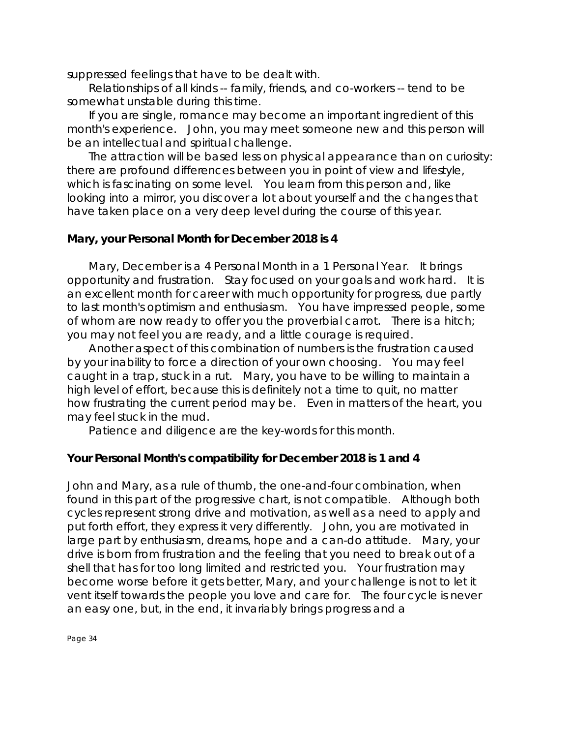suppressed feelings that have to be dealt with.

 Relationships of all kinds -- family, friends, and co-workers -- tend to be somewhat unstable during this time.

 If you are single, romance may become an important ingredient of this month's experience. John, you may meet someone new and this person will be an intellectual and spiritual challenge.

 The attraction will be based less on physical appearance than on curiosity: there are profound differences between you in point of view and lifestyle, which is fascinating on some level. You learn from this person and, like looking into a mirror, you discover a lot about yourself and the changes that have taken place on a very deep level during the course of this year.

#### *Mary, your Personal Month for December 2018 is 4*

 Mary, December is a 4 Personal Month in a 1 Personal Year. It brings opportunity and frustration. Stay focused on your goals and work hard. It is an excellent month for career with much opportunity for progress, due partly to last month's optimism and enthusiasm. You have impressed people, some of whom are now ready to offer you the proverbial carrot. There is a hitch; you may not feel you are ready, and a little courage is required.

 Another aspect of this combination of numbers is the frustration caused by your inability to force a direction of your own choosing. You may feel caught in a trap, stuck in a rut. Mary, you have to be willing to maintain a high level of effort, because this is definitely not a time to quit, no matter how frustrating the current period may be. Even in matters of the heart, you may feel stuck in the mud.

Patience and diligence are the key-words for this month.

# *Your Personal Month's compatibility for December 2018 is 1 and 4*

John and Mary, as a rule of thumb, the one-and-four combination, when found in this part of the progressive chart, is not compatible. Although both cycles represent strong drive and motivation, as well as a need to apply and put forth effort, they express it very differently. John, you are motivated in large part by enthusiasm, dreams, hope and a can-do attitude. Mary, your drive is born from frustration and the feeling that you need to break out of a shell that has for too long limited and restricted you. Your frustration may become worse before it gets better, Mary, and your challenge is not to let it vent itself towards the people you love and care for. The four cycle is never an easy one, but, in the end, it invariably brings progress and a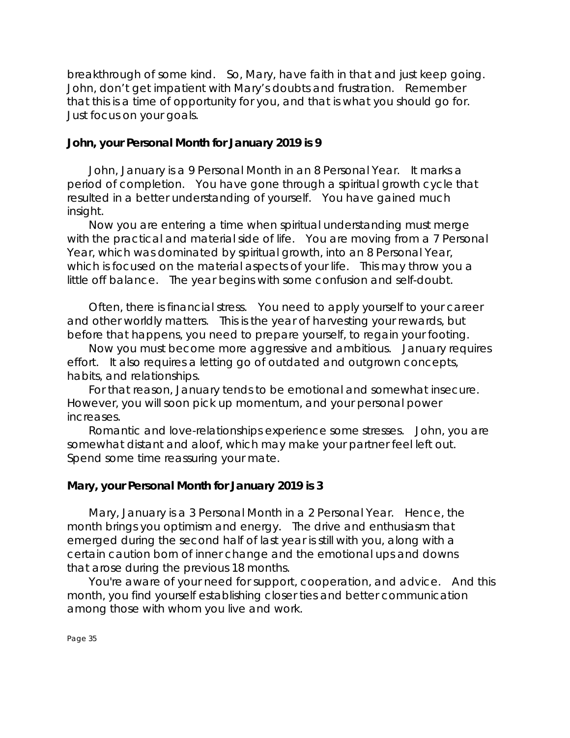breakthrough of some kind. So, Mary, have faith in that and just keep going. John, don't get impatient with Mary's doubts and frustration. Remember that this is a time of opportunity for you, and that is what you should go for. Just focus on your goals.

#### *John, your Personal Month for January 2019 is 9*

 John, January is a 9 Personal Month in an 8 Personal Year. It marks a period of completion. You have gone through a spiritual growth cycle that resulted in a better understanding of yourself. You have gained much insight.

 Now you are entering a time when spiritual understanding must merge with the practical and material side of life. You are moving from a 7 Personal Year, which was dominated by spiritual growth, into an 8 Personal Year, which is focused on the material aspects of your life. This may throw you a little off balance. The year begins with some confusion and self-doubt.

 Often, there is financial stress. You need to apply yourself to your career and other worldly matters. This is the year of harvesting your rewards, but before that happens, you need to prepare yourself, to regain your footing.

 Now you must become more aggressive and ambitious. January requires effort. It also requires a letting go of outdated and outgrown concepts, habits, and relationships.

 For that reason, January tends to be emotional and somewhat insecure. However, you will soon pick up momentum, and your personal power increases.

 Romantic and love-relationships experience some stresses. John, you are somewhat distant and aloof, which may make your partner feel left out. Spend some time reassuring your mate.

# *Mary, your Personal Month for January 2019 is 3*

 Mary, January is a 3 Personal Month in a 2 Personal Year. Hence, the month brings you optimism and energy. The drive and enthusiasm that emerged during the second half of last year is still with you, along with a certain caution born of inner change and the emotional ups and downs that arose during the previous 18 months.

 You're aware of your need for support, cooperation, and advice. And this month, you find yourself establishing closer ties and better communication among those with whom you live and work.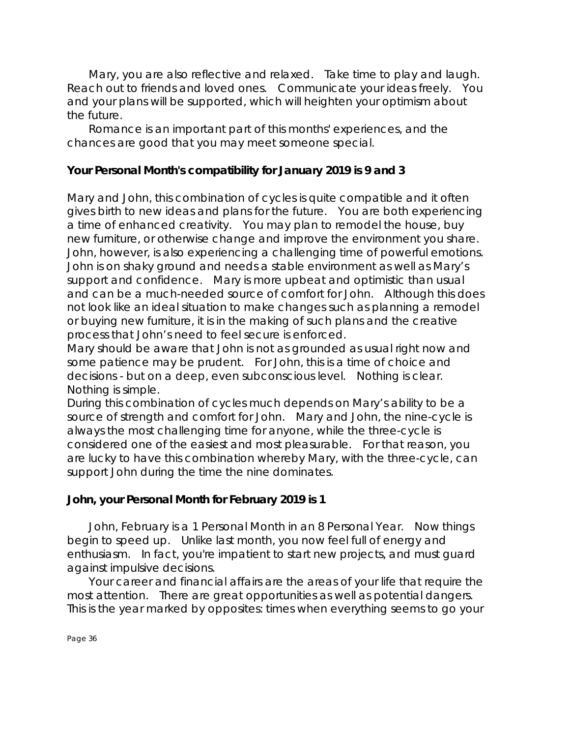Mary, you are also reflective and relaxed. Take time to play and laugh. Reach out to friends and loved ones. Communicate your ideas freely. You and your plans will be supported, which will heighten your optimism about the future.

 Romance is an important part of this months' experiences, and the chances are good that you may meet someone special.

### *Your Personal Month's compatibility for January 2019 is 9 and 3*

Mary and John, this combination of cycles is quite compatible and it often gives birth to new ideas and plans for the future. You are both experiencing a time of enhanced creativity. You may plan to remodel the house, buy new furniture, or otherwise change and improve the environment you share. John, however, is also experiencing a challenging time of powerful emotions. John is on shaky ground and needs a stable environment as well as Mary's support and confidence. Mary is more upbeat and optimistic than usual and can be a much-needed source of comfort for John. Although this does not look like an ideal situation to make changes such as planning a remodel or buying new furniture, it is in the making of such plans and the creative process that John's need to feel secure is enforced.

Mary should be aware that John is not as grounded as usual right now and some patience may be prudent. For John, this is a time of choice and decisions - but on a deep, even subconscious level. Nothing is clear. Nothing is simple.

During this combination of cycles much depends on Mary's ability to be a source of strength and comfort for John. Mary and John, the nine-cycle is always the most challenging time for anyone, while the three-cycle is considered one of the easiest and most pleasurable. For that reason, you are lucky to have this combination whereby Mary, with the three-cycle, can support John during the time the nine dominates.

#### *John, your Personal Month for February 2019 is 1*

 John, February is a 1 Personal Month in an 8 Personal Year. Now things begin to speed up. Unlike last month, you now feel full of energy and enthusiasm. In fact, you're impatient to start new projects, and must guard against impulsive decisions.

 Your career and financial affairs are the areas of your life that require the most attention. There are great opportunities as well as potential dangers. This is the year marked by opposites: times when everything seems to go your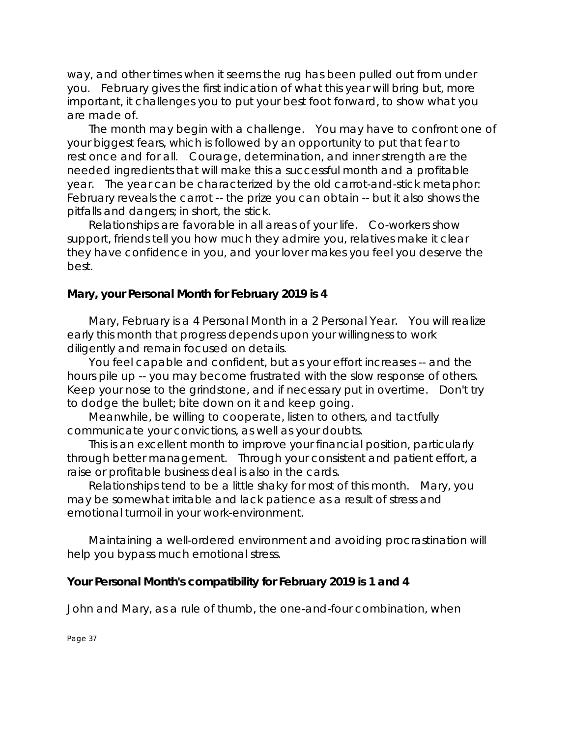way, and other times when it seems the rug has been pulled out from under you. February gives the first indication of what this year will bring but, more important, it challenges you to put your best foot forward, to show what you are made of.

 The month may begin with a challenge. You may have to confront one of your biggest fears, which is followed by an opportunity to put that fear to rest once and for all. Courage, determination, and inner strength are the needed ingredients that will make this a successful month and a profitable year. The year can be characterized by the old carrot-and-stick metaphor: February reveals the carrot -- the prize you can obtain -- but it also shows the pitfalls and dangers; in short, the stick.

 Relationships are favorable in all areas of your life. Co-workers show support, friends tell you how much they admire you, relatives make it clear they have confidence in you, and your lover makes you feel you deserve the best.

#### *Mary, your Personal Month for February 2019 is 4*

 Mary, February is a 4 Personal Month in a 2 Personal Year. You will realize early this month that progress depends upon your willingness to work diligently and remain focused on details.

 You feel capable and confident, but as your effort increases -- and the hours pile up -- you may become frustrated with the slow response of others. Keep your nose to the grindstone, and if necessary put in overtime. Don't try to dodge the bullet; bite down on it and keep going.

 Meanwhile, be willing to cooperate, listen to others, and tactfully communicate your convictions, as well as your doubts.

 This is an excellent month to improve your financial position, particularly through better management. Through your consistent and patient effort, a raise or profitable business deal is also in the cards.

 Relationships tend to be a little shaky for most of this month. Mary, you may be somewhat irritable and lack patience as a result of stress and emotional turmoil in your work-environment.

 Maintaining a well-ordered environment and avoiding procrastination will help you bypass much emotional stress.

#### *Your Personal Month's compatibility for February 2019 is 1 and 4*

John and Mary, as a rule of thumb, the one-and-four combination, when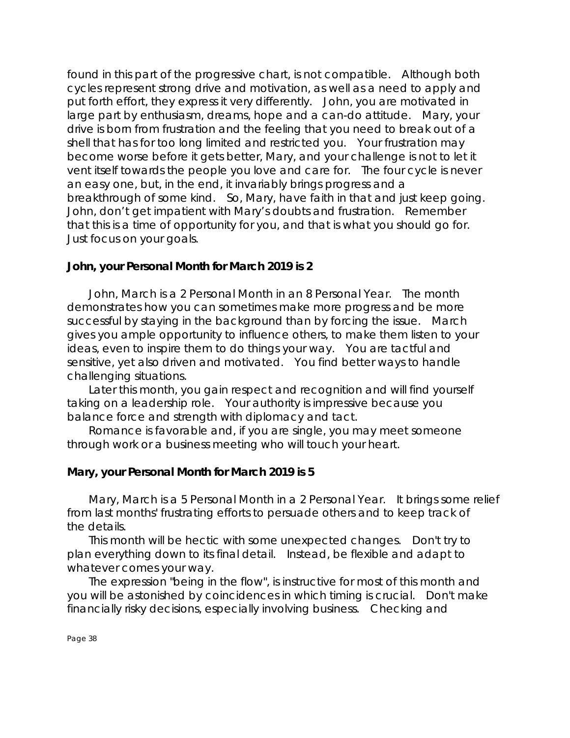found in this part of the progressive chart, is not compatible. Although both cycles represent strong drive and motivation, as well as a need to apply and put forth effort, they express it very differently. John, you are motivated in large part by enthusiasm, dreams, hope and a can-do attitude. Mary, your drive is born from frustration and the feeling that you need to break out of a shell that has for too long limited and restricted you. Your frustration may become worse before it gets better, Mary, and your challenge is not to let it vent itself towards the people you love and care for. The four cycle is never an easy one, but, in the end, it invariably brings progress and a breakthrough of some kind. So, Mary, have faith in that and just keep going. John, don't get impatient with Mary's doubts and frustration. Remember that this is a time of opportunity for you, and that is what you should go for. Just focus on your goals.

#### *John, your Personal Month for March 2019 is 2*

 John, March is a 2 Personal Month in an 8 Personal Year. The month demonstrates how you can sometimes make more progress and be more successful by staying in the background than by forcing the issue. March gives you ample opportunity to influence others, to make them listen to your ideas, even to inspire them to do things your way. You are tactful and sensitive, yet also driven and motivated. You find better ways to handle challenging situations.

 Later this month, you gain respect and recognition and will find yourself taking on a leadership role. Your authority is impressive because you balance force and strength with diplomacy and tact.

 Romance is favorable and, if you are single, you may meet someone through work or a business meeting who will touch your heart.

#### *Mary, your Personal Month for March 2019 is 5*

 Mary, March is a 5 Personal Month in a 2 Personal Year. It brings some relief from last months' frustrating efforts to persuade others and to keep track of the details.

 This month will be hectic with some unexpected changes. Don't try to plan everything down to its final detail. Instead, be flexible and adapt to whatever comes your way.

 The expression "being in the flow", is instructive for most of this month and you will be astonished by coincidences in which timing is crucial. Don't make financially risky decisions, especially involving business. Checking and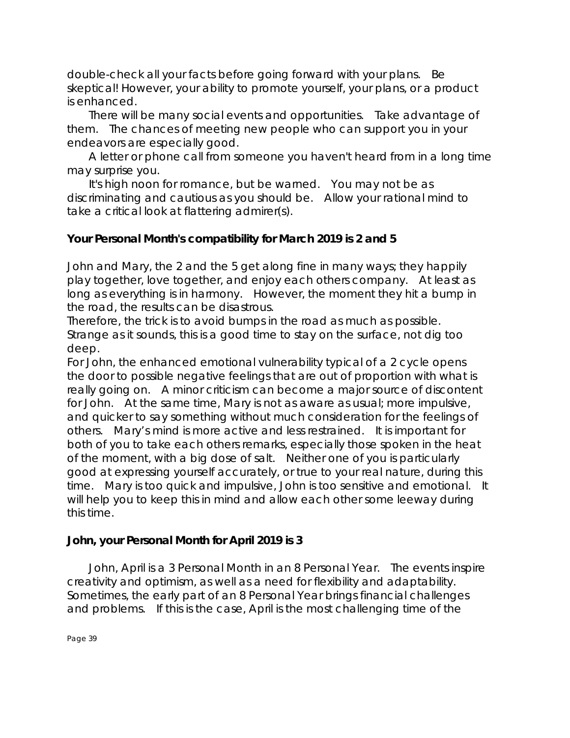double-check all your facts before going forward with your plans. Be skeptical! However, your ability to promote yourself, your plans, or a product is enhanced.

 There will be many social events and opportunities. Take advantage of them. The chances of meeting new people who can support you in your endeavors are especially good.

 A letter or phone call from someone you haven't heard from in a long time may surprise you.

 It's high noon for romance, but be warned. You may not be as discriminating and cautious as you should be. Allow your rational mind to take a critical look at flattering admirer(s).

# *Your Personal Month's compatibility for March 2019 is 2 and 5*

John and Mary, the 2 and the 5 get along fine in many ways; they happily play together, love together, and enjoy each others company. At least as long as everything is in harmony. However, the moment they hit a bump in the road, the results can be disastrous.

Therefore, the trick is to avoid bumps in the road as much as possible. Strange as it sounds, this is a good time to stay on the surface, not dig too deep.

For John, the enhanced emotional vulnerability typical of a 2 cycle opens the door to possible negative feelings that are out of proportion with what is really going on. A minor criticism can become a major source of discontent for John. At the same time, Mary is not as aware as usual; more impulsive, and quicker to say something without much consideration for the feelings of others. Mary's mind is more active and less restrained. It is important for both of you to take each others remarks, especially those spoken in the heat of the moment, with a big dose of salt. Neither one of you is particularly good at expressing yourself accurately, or true to your real nature, during this time. Mary is too quick and impulsive, John is too sensitive and emotional. It will help you to keep this in mind and allow each other some leeway during this time.

#### *John, your Personal Month for April 2019 is 3*

 John, April is a 3 Personal Month in an 8 Personal Year. The events inspire creativity and optimism, as well as a need for flexibility and adaptability. Sometimes, the early part of an 8 Personal Year brings financial challenges and problems. If this is the case, April is the most challenging time of the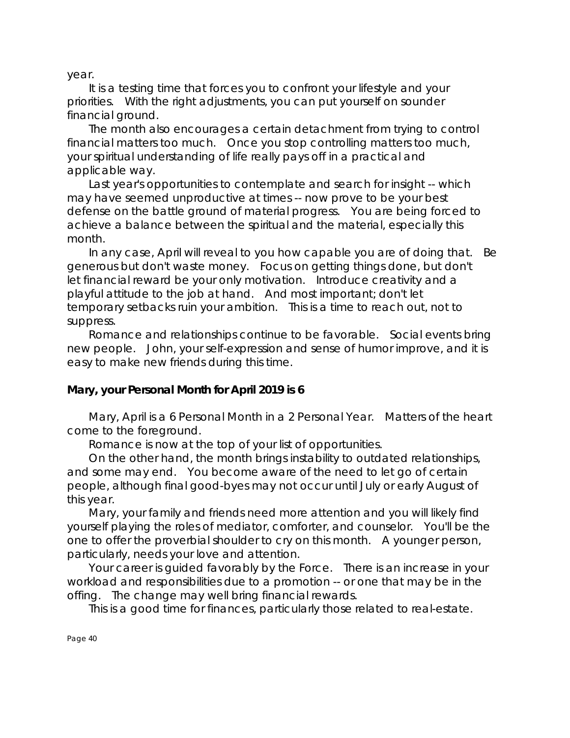year.

 It is a testing time that forces you to confront your lifestyle and your priorities. With the right adjustments, you can put yourself on sounder financial ground.

 The month also encourages a certain detachment from trying to control financial matters too much. Once you stop controlling matters too much, your spiritual understanding of life really pays off in a practical and applicable way.

 Last year's opportunities to contemplate and search for insight -- which may have seemed unproductive at times -- now prove to be your best defense on the battle ground of material progress. You are being forced to achieve a balance between the spiritual and the material, especially this month.

 In any case, April will reveal to you how capable you are of doing that. Be generous but don't waste money. Focus on getting things done, but don't let financial reward be your only motivation. Introduce creativity and a playful attitude to the job at hand. And most important; don't let temporary setbacks ruin your ambition. This is a time to reach out, not to suppress.

 Romance and relationships continue to be favorable. Social events bring new people. John, your self-expression and sense of humor improve, and it is easy to make new friends during this time.

# *Mary, your Personal Month for April 2019 is 6*

 Mary, April is a 6 Personal Month in a 2 Personal Year. Matters of the heart come to the foreground.

Romance is now at the top of your list of opportunities.

 On the other hand, the month brings instability to outdated relationships, and some may end. You become aware of the need to let go of certain people, although final good-byes may not occur until July or early August of this year.

 Mary, your family and friends need more attention and you will likely find yourself playing the roles of mediator, comforter, and counselor. You'll be the one to offer the proverbial shoulder to cry on this month. A younger person, particularly, needs your love and attention.

 Your career is guided favorably by the Force. There is an increase in your workload and responsibilities due to a promotion -- or one that may be in the offing. The change may well bring financial rewards.

This is a good time for finances, particularly those related to real-estate.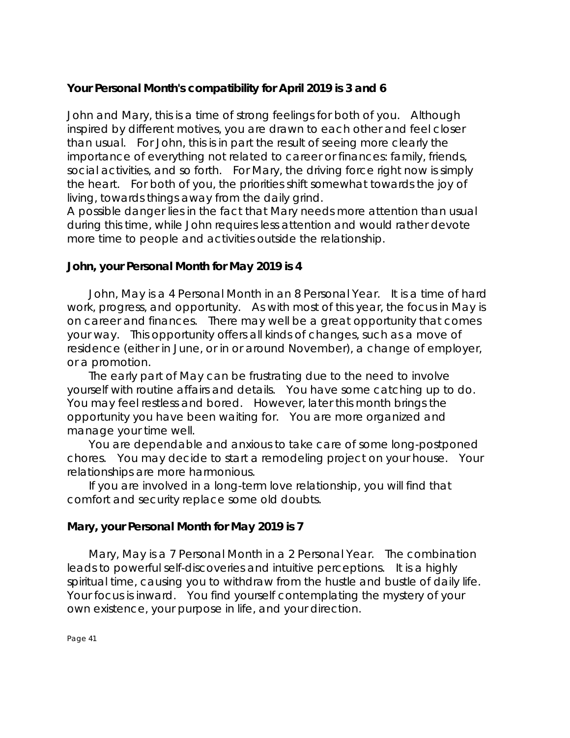# *Your Personal Month's compatibility for April 2019 is 3 and 6*

John and Mary, this is a time of strong feelings for both of you. Although inspired by different motives, you are drawn to each other and feel closer than usual. For John, this is in part the result of seeing more clearly the importance of everything not related to career or finances: family, friends, social activities, and so forth. For Mary, the driving force right now is simply the heart. For both of you, the priorities shift somewhat towards the joy of living, towards things away from the daily grind.

A possible danger lies in the fact that Mary needs more attention than usual during this time, while John requires less attention and would rather devote more time to people and activities outside the relationship.

# *John, your Personal Month for May 2019 is 4*

 John, May is a 4 Personal Month in an 8 Personal Year. It is a time of hard work, progress, and opportunity. As with most of this year, the focus in May is on career and finances. There may well be a great opportunity that comes your way. This opportunity offers all kinds of changes, such as a move of residence (either in June, or in or around November), a change of employer, or a promotion.

 The early part of May can be frustrating due to the need to involve yourself with routine affairs and details. You have some catching up to do. You may feel restless and bored. However, later this month brings the opportunity you have been waiting for. You are more organized and manage your time well.

 You are dependable and anxious to take care of some long-postponed chores. You may decide to start a remodeling project on your house. Your relationships are more harmonious.

 If you are involved in a long-term love relationship, you will find that comfort and security replace some old doubts.

# *Mary, your Personal Month for May 2019 is 7*

 Mary, May is a 7 Personal Month in a 2 Personal Year. The combination leads to powerful self-discoveries and intuitive perceptions. It is a highly spiritual time, causing you to withdraw from the hustle and bustle of daily life. Your focus is inward. You find yourself contemplating the mystery of your own existence, your purpose in life, and your direction.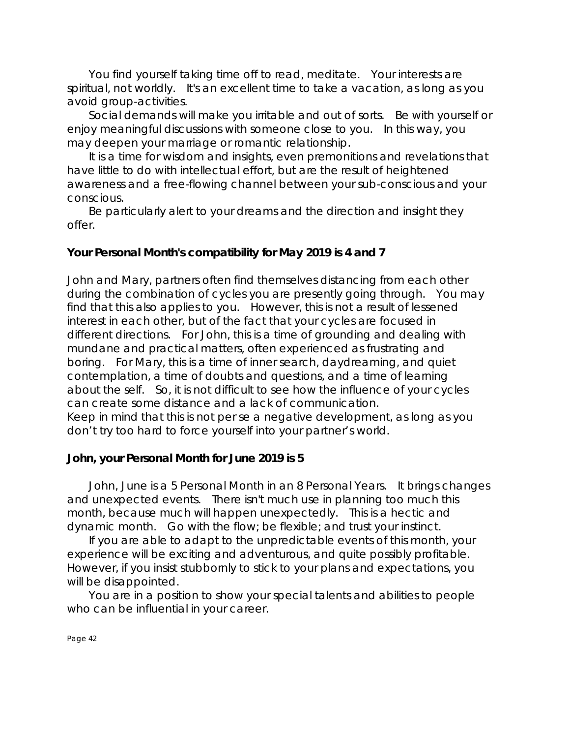You find yourself taking time off to read, meditate. Your interests are spiritual, not worldly. It's an excellent time to take a vacation, as long as you avoid group-activities.

 Social demands will make you irritable and out of sorts. Be with yourself or enjoy meaningful discussions with someone close to you. In this way, you may deepen your marriage or romantic relationship.

 It is a time for wisdom and insights, even premonitions and revelations that have little to do with intellectual effort, but are the result of heightened awareness and a free-flowing channel between your sub-conscious and your conscious.

 Be particularly alert to your dreams and the direction and insight they offer.

#### *Your Personal Month's compatibility for May 2019 is 4 and 7*

John and Mary, partners often find themselves distancing from each other during the combination of cycles you are presently going through. You may find that this also applies to you. However, this is not a result of lessened interest in each other, but of the fact that your cycles are focused in different directions. For John, this is a time of grounding and dealing with mundane and practical matters, often experienced as frustrating and boring. For Mary, this is a time of inner search, daydreaming, and quiet contemplation, a time of doubts and questions, and a time of learning about the self. So, it is not difficult to see how the influence of your cycles can create some distance and a lack of communication. Keep in mind that this is not per se a negative development, as long as you don't try too hard to force yourself into your partner's world.

#### *John, your Personal Month for June 2019 is 5*

 John, June is a 5 Personal Month in an 8 Personal Years. It brings changes and unexpected events. There isn't much use in planning too much this month, because much will happen unexpectedly. This is a hectic and dynamic month. Go with the flow; be flexible; and trust your instinct.

 If you are able to adapt to the unpredictable events of this month, your experience will be exciting and adventurous, and quite possibly profitable. However, if you insist stubbornly to stick to your plans and expectations, you will be disappointed.

 You are in a position to show your special talents and abilities to people who can be influential in your career.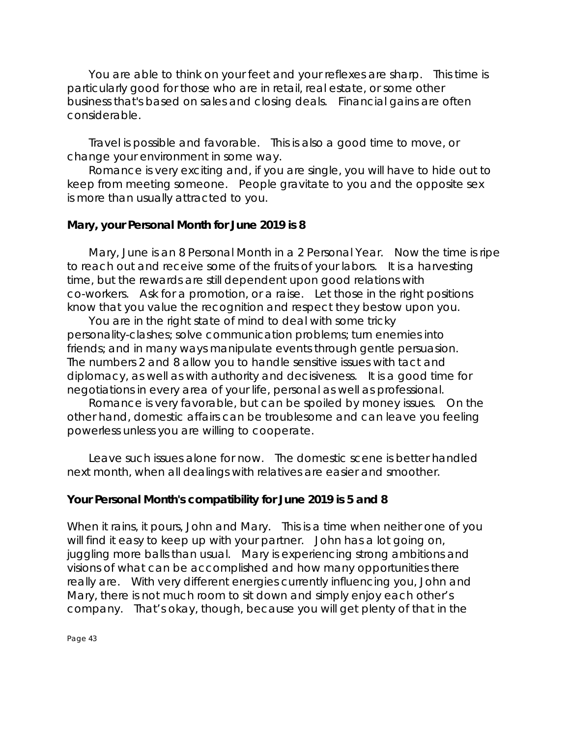You are able to think on your feet and your reflexes are sharp. This time is particularly good for those who are in retail, real estate, or some other business that's based on sales and closing deals. Financial gains are often considerable.

 Travel is possible and favorable. This is also a good time to move, or change your environment in some way.

 Romance is very exciting and, if you are single, you will have to hide out to keep from meeting someone. People gravitate to you and the opposite sex is more than usually attracted to you.

#### *Mary, your Personal Month for June 2019 is 8*

 Mary, June is an 8 Personal Month in a 2 Personal Year. Now the time is ripe to reach out and receive some of the fruits of your labors. It is a harvesting time, but the rewards are still dependent upon good relations with co-workers. Ask for a promotion, or a raise. Let those in the right positions know that you value the recognition and respect they bestow upon you.

 You are in the right state of mind to deal with some tricky personality-clashes; solve communication problems; turn enemies into friends; and in many ways manipulate events through gentle persuasion. The numbers 2 and 8 allow you to handle sensitive issues with tact and diplomacy, as well as with authority and decisiveness. It is a good time for negotiations in every area of your life, personal as well as professional.

 Romance is very favorable, but can be spoiled by money issues. On the other hand, domestic affairs can be troublesome and can leave you feeling powerless unless you are willing to cooperate.

 Leave such issues alone for now. The domestic scene is better handled next month, when all dealings with relatives are easier and smoother.

#### *Your Personal Month's compatibility for June 2019 is 5 and 8*

When it rains, it pours, John and Mary. This is a time when neither one of you will find it easy to keep up with your partner. John has a lot going on, juggling more balls than usual. Mary is experiencing strong ambitions and visions of what can be accomplished and how many opportunities there really are. With very different energies currently influencing you, John and Mary, there is not much room to sit down and simply enjoy each other's company. That's okay, though, because you will get plenty of that in the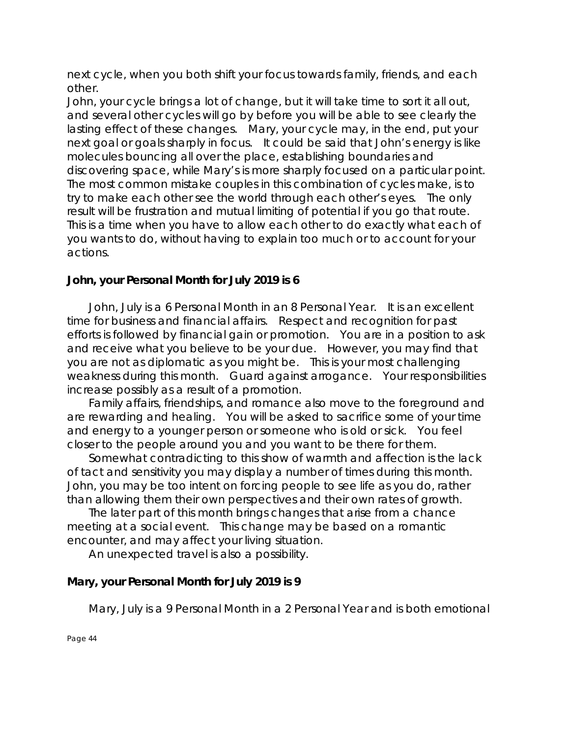next cycle, when you both shift your focus towards family, friends, and each other.

John, your cycle brings a lot of change, but it will take time to sort it all out, and several other cycles will go by before you will be able to see clearly the lasting effect of these changes. Mary, your cycle may, in the end, put your next goal or goals sharply in focus. It could be said that John's energy is like molecules bouncing all over the place, establishing boundaries and discovering space, while Mary's is more sharply focused on a particular point. The most common mistake couples in this combination of cycles make, is to try to make each other see the world through each other's eyes. The only result will be frustration and mutual limiting of potential if you go that route. This is a time when you have to allow each other to do exactly what each of you wants to do, without having to explain too much or to account for your actions.

#### *John, your Personal Month for July 2019 is 6*

 John, July is a 6 Personal Month in an 8 Personal Year. It is an excellent time for business and financial affairs. Respect and recognition for past efforts is followed by financial gain or promotion. You are in a position to ask and receive what you believe to be your due. However, you may find that you are not as diplomatic as you might be. This is your most challenging weakness during this month. Guard against arrogance. Your responsibilities increase possibly as a result of a promotion.

 Family affairs, friendships, and romance also move to the foreground and are rewarding and healing. You will be asked to sacrifice some of your time and energy to a younger person or someone who is old or sick. You feel closer to the people around you and you want to be there for them.

 Somewhat contradicting to this show of warmth and affection is the lack of tact and sensitivity you may display a number of times during this month. John, you may be too intent on forcing people to see life as you do, rather than allowing them their own perspectives and their own rates of growth.

 The later part of this month brings changes that arise from a chance meeting at a social event. This change may be based on a romantic encounter, and may affect your living situation.

An unexpected travel is also a possibility.

#### *Mary, your Personal Month for July 2019 is 9*

Mary, July is a 9 Personal Month in a 2 Personal Year and is both emotional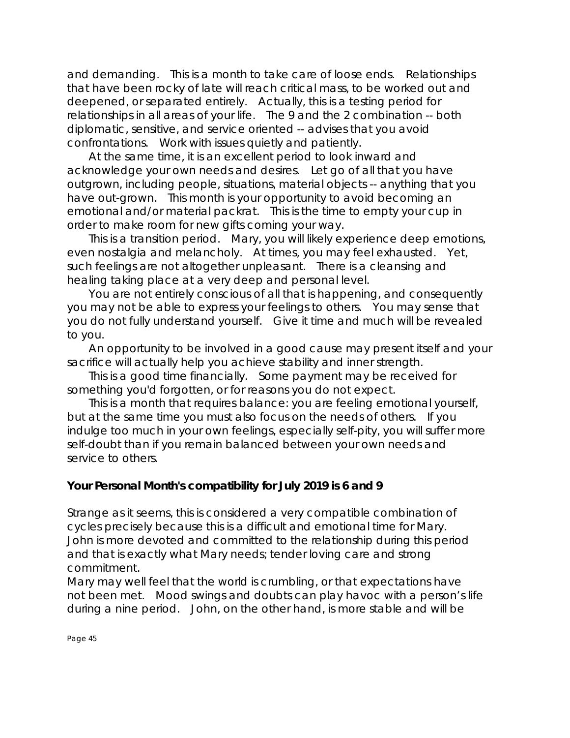and demanding. This is a month to take care of loose ends. Relationships that have been rocky of late will reach critical mass, to be worked out and deepened, or separated entirely. Actually, this is a testing period for relationships in all areas of your life. The 9 and the 2 combination -- both diplomatic, sensitive, and service oriented -- advises that you avoid confrontations. Work with issues quietly and patiently.

 At the same time, it is an excellent period to look inward and acknowledge your own needs and desires. Let go of all that you have outgrown, including people, situations, material objects -- anything that you have out-grown. This month is your opportunity to avoid becoming an emotional and/or material packrat. This is the time to empty your cup in order to make room for new gifts coming your way.

 This is a transition period. Mary, you will likely experience deep emotions, even nostalgia and melancholy. At times, you may feel exhausted. Yet, such feelings are not altogether unpleasant. There is a cleansing and healing taking place at a very deep and personal level.

 You are not entirely conscious of all that is happening, and consequently you may not be able to express your feelings to others. You may sense that you do not fully understand yourself. Give it time and much will be revealed to you.

 An opportunity to be involved in a good cause may present itself and your sacrifice will actually help you achieve stability and inner strength.

 This is a good time financially. Some payment may be received for something you'd forgotten, or for reasons you do not expect.

 This is a month that requires balance: you are feeling emotional yourself, but at the same time you must also focus on the needs of others. If you indulge too much in your own feelings, especially self-pity, you will suffer more self-doubt than if you remain balanced between your own needs and service to others.

#### *Your Personal Month's compatibility for July 2019 is 6 and 9*

Strange as it seems, this is considered a very compatible combination of cycles precisely because this is a difficult and emotional time for Mary. John is more devoted and committed to the relationship during this period and that is exactly what Mary needs; tender loving care and strong commitment.

Mary may well feel that the world is crumbling, or that expectations have not been met. Mood swings and doubts can play havoc with a person's life during a nine period. John, on the other hand, is more stable and will be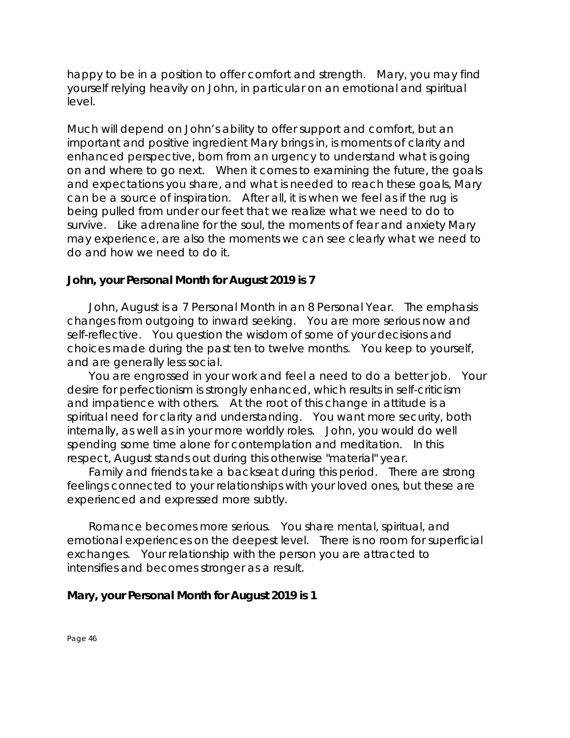happy to be in a position to offer comfort and strength. Mary, you may find yourself relying heavily on John, in particular on an emotional and spiritual level.

Much will depend on John's ability to offer support and comfort, but an important and positive ingredient Mary brings in, is moments of clarity and enhanced perspective, born from an urgency to understand what is going on and where to go next. When it comes to examining the future, the goals and expectations you share, and what is needed to reach these goals, Mary can be a source of inspiration. After all, it is when we feel as if the rug is being pulled from under our feet that we realize what we need to do to survive. Like adrenaline for the soul, the moments of fear and anxiety Mary may experience, are also the moments we can see clearly what we need to do and how we need to do it.

#### *John, your Personal Month for August 2019 is 7*

 John, August is a 7 Personal Month in an 8 Personal Year. The emphasis changes from outgoing to inward seeking. You are more serious now and self-reflective. You question the wisdom of some of your decisions and choices made during the past ten to twelve months. You keep to yourself, and are generally less social.

 You are engrossed in your work and feel a need to do a better job. Your desire for perfectionism is strongly enhanced, which results in self-criticism and impatience with others. At the root of this change in attitude is a spiritual need for clarity and understanding. You want more security, both internally, as well as in your more worldly roles. John, you would do well spending some time alone for contemplation and meditation. In this respect, August stands out during this otherwise "material" year.

 Family and friends take a backseat during this period. There are strong feelings connected to your relationships with your loved ones, but these are experienced and expressed more subtly.

 Romance becomes more serious. You share mental, spiritual, and emotional experiences on the deepest level. There is no room for superficial exchanges. Your relationship with the person you are attracted to intensifies and becomes stronger as a result.

#### *Mary, your Personal Month for August 2019 is 1*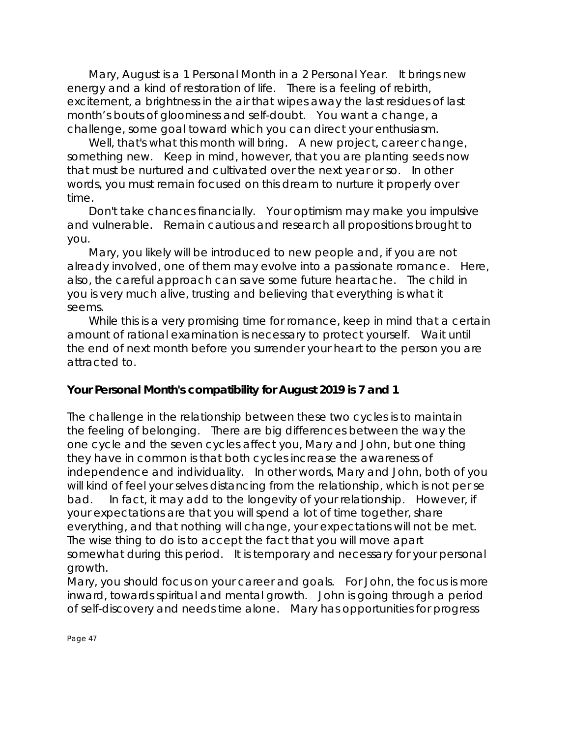Mary, August is a 1 Personal Month in a 2 Personal Year. It brings new energy and a kind of restoration of life. There is a feeling of rebirth, excitement, a brightness in the air that wipes away the last residues of last month's bouts of gloominess and self-doubt. You want a change, a challenge, some goal toward which you can direct your enthusiasm.

Well, that's what this month will bring. A new project, career change, something new. Keep in mind, however, that you are planting seeds now that must be nurtured and cultivated over the next year or so. In other words, you must remain focused on this dream to nurture it properly over time.

 Don't take chances financially. Your optimism may make you impulsive and vulnerable. Remain cautious and research all propositions brought to you.

 Mary, you likely will be introduced to new people and, if you are not already involved, one of them may evolve into a passionate romance. Here, also, the careful approach can save some future heartache. The child in you is very much alive, trusting and believing that everything is what it seems.

 While this is a very promising time for romance, keep in mind that a certain amount of rational examination is necessary to protect yourself. Wait until the end of next month before you surrender your heart to the person you are attracted to.

# *Your Personal Month's compatibility for August 2019 is 7 and 1*

The challenge in the relationship between these two cycles is to maintain the feeling of belonging. There are big differences between the way the one cycle and the seven cycles affect you, Mary and John, but one thing they have in common is that both cycles increase the awareness of independence and individuality. In other words, Mary and John, both of you will kind of feel your selves distancing from the relationship, which is not per se bad. In fact, it may add to the longevity of your relationship. However, if your expectations are that you will spend a lot of time together, share everything, and that nothing will change, your expectations will not be met. The wise thing to do is to accept the fact that you will move apart somewhat during this period. It is temporary and necessary for your personal growth.

Mary, you should focus on your career and goals. For John, the focus is more inward, towards spiritual and mental growth. John is going through a period of self-discovery and needs time alone. Mary has opportunities for progress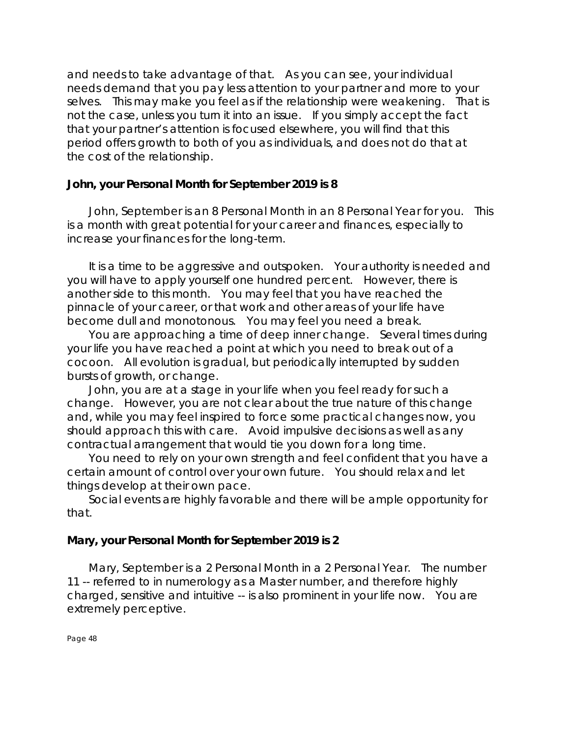and needs to take advantage of that. As you can see, your individual needs demand that you pay less attention to your partner and more to your selves. This may make you feel as if the relationship were weakening. That is not the case, unless you turn it into an issue. If you simply accept the fact that your partner's attention is focused elsewhere, you will find that this period offers growth to both of you as individuals, and does not do that at the cost of the relationship.

# *John, your Personal Month for September 2019 is 8*

 John, September is an 8 Personal Month in an 8 Personal Year for you. This is a month with great potential for your career and finances, especially to increase your finances for the long-term.

 It is a time to be aggressive and outspoken. Your authority is needed and you will have to apply yourself one hundred percent. However, there is another side to this month. You may feel that you have reached the pinnacle of your career, or that work and other areas of your life have become dull and monotonous. You may feel you need a break.

 You are approaching a time of deep inner change. Several times during your life you have reached a point at which you need to break out of a cocoon. All evolution is gradual, but periodically interrupted by sudden bursts of growth, or change.

 John, you are at a stage in your life when you feel ready for such a change. However, you are not clear about the true nature of this change and, while you may feel inspired to force some practical changes now, you should approach this with care. Avoid impulsive decisions as well as any contractual arrangement that would tie you down for a long time.

 You need to rely on your own strength and feel confident that you have a certain amount of control over your own future. You should relax and let things develop at their own pace.

 Social events are highly favorable and there will be ample opportunity for that.

# *Mary, your Personal Month for September 2019 is 2*

 Mary, September is a 2 Personal Month in a 2 Personal Year. The number 11 -- referred to in numerology as a Master number, and therefore highly charged, sensitive and intuitive -- is also prominent in your life now. You are extremely perceptive.